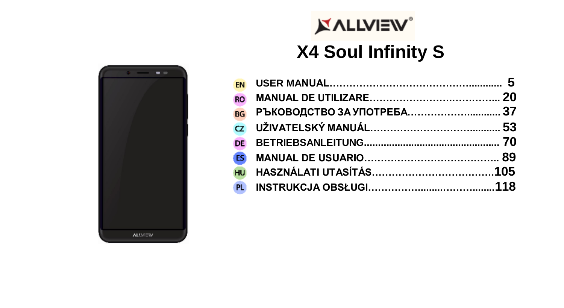

# **X4 Soul Infinity S**

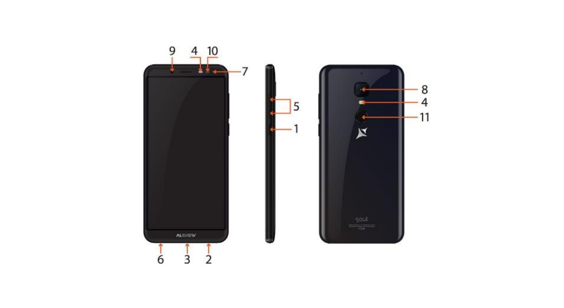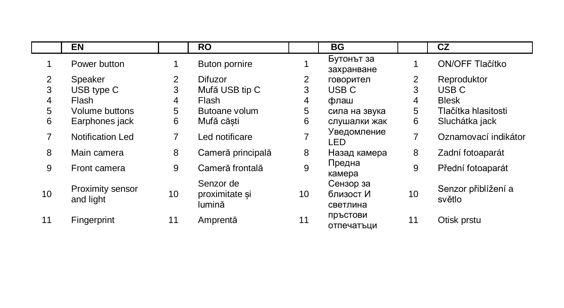|                  | EN                            |                | RO                                    |                | BG                                 |    | CZ                            |
|------------------|-------------------------------|----------------|---------------------------------------|----------------|------------------------------------|----|-------------------------------|
|                  | Power button                  | 1              | Buton pornire                         |                | Бутонът за<br>захранване           |    | ON/OFF Tlačítko               |
| $\overline{2}$   | Speaker                       | $\overline{2}$ | Difuzor                               | $\overline{2}$ | говорител                          | 2  | Reproduktor                   |
| 3                | USB type C                    | 3              | Mufă USB tip C                        | 3              | USB C                              | 3  | USB <sub>C</sub>              |
| $\overline{4}$   | Flash                         | 4              | Flash                                 | 4              | флаш                               | 4  | <b>Blesk</b>                  |
| 5                | Volume buttons                | 5              | Butoane volum                         | 5              | сила на звука                      | 5  | Tlačítka hlasitosti           |
| 6                | Earphones jack                | 6              | Mufă căsti                            | 6              | слушалки жак                       | 6  | Sluchátka jack                |
| 7                | Notification Led              | 7              | Led notificare                        |                | Уведомление<br>LED                 | 7  | Oznamovací indikátor          |
| 8                | Main camera                   | 8              | Cameră principală                     | 8              | Назад камера                       | 8  | Zadní fotoaparát              |
| 9                | Front camera                  | 9              | Cameră frontală                       | 9              | Предна<br>камера                   | 9  | Přední fotoaparát             |
| 10 <sup>10</sup> | Proximity sensor<br>and light | 10             | Senzor de<br>proximitate si<br>lumină | 10             | Сензор за<br>близост И<br>светлина | 10 | Senzor přiblížení a<br>světlo |
| 11               | Fingerprint                   | 11             | Amprentă                              | 11             | ПОЪСТОВИ<br>отпечатъци             | 11 | Otisk prstu                   |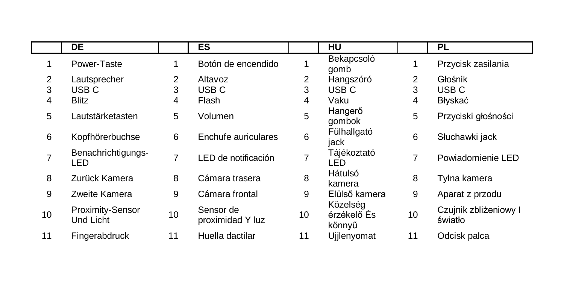|                | DE                            |                | ES                            |    | HU                                |                | PL                               |
|----------------|-------------------------------|----------------|-------------------------------|----|-----------------------------------|----------------|----------------------------------|
| 1              | Power-Taste                   | 1              | Botón de encendido            |    | Bekapcsoló<br>gomb                |                | Przycisk zasilania               |
| $\overline{c}$ | Lautsprecher                  | $\overline{2}$ | Altavoz                       | 2  | Hangszóró                         | $\mathfrak{p}$ | Głośnik                          |
| 3              | USB C                         | 3              | USB <sub>C</sub>              | 3  | USB C                             | 3              | USB <sub>C</sub>                 |
| 4              | <b>Blitz</b>                  | 4              | Flash                         | 4  | Vaku                              | 4              | Błyskać                          |
| 5              | Lautstärketasten              | 5              | Volumen                       | 5  | Hangerő<br>aombok                 | 5              | Przyciski głośności              |
| 6              | Kopfhörerbuchse               | 6              | Enchufe auriculares           | 6  | Fülhallgató<br>jack               | 6              | Słuchawki jack                   |
| 7              | Benachrichtigungs-<br>LED.    | 7              | LED de notificación           | 7  | Táiékoztató<br>LED                | 7              | Powiadomienie LED                |
| 8              | Zurück Kamera                 | 8              | Cámara trasera                | 8  | Hátulsó<br>kamera                 | 8              | Tvlna kamera                     |
| 9              | Zweite Kamera                 | 9              | Cámara frontal                | 9  | Flülső kamera                     | 9              | Aparat z przodu                  |
| 10             | Proximity-Sensor<br>Und Licht | 10             | Sensor de<br>proximidad Y luz | 10 | Közelség<br>érzékelő És<br>könnyű | 10             | Czujnik zbliżeniowy I<br>światło |
| 11             | Fingerabdruck                 | 11             | Huella dactilar               | 11 | <b>Uillenvomat</b>                | 11             | Odcisk palca                     |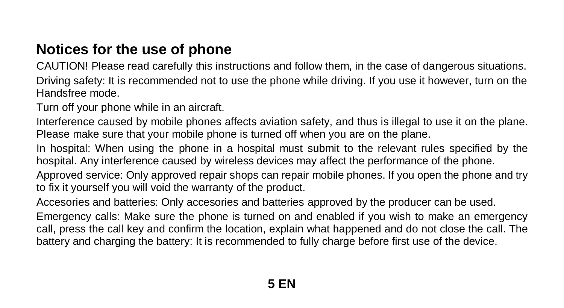### **Notices for the use of phone**

CAUTION! Please read carefully this instructions and follow them, in the case of dangerous situations. Driving safety: It is recommended not to use the phone while driving. If you use it however, turn on the Handsfree mode.

Turn off your phone while in an aircraft.

Interference caused by mobile phones affects aviation safety, and thus is illegal to use it on the plane. Please make sure that your mobile phone is turned off when you are on the plane.

In hospital: When using the phone in a hospital must submit to the relevant rules specified by the hospital. Any interference caused by wireless devices may affect the performance of the phone.

Approved service: Only approved repair shops can repair mobile phones. If you open the phone and try to fix it yourself you will void the warranty of the product.

Accesories and batteries: Only accesories and batteries approved by the producer can be used.

Emergency calls: Make sure the phone is turned on and enabled if you wish to make an emergency call, press the call key and confirm the location, explain what happened and do not close the call. The battery and charging the battery: It is recommended to fully charge before first use of the device.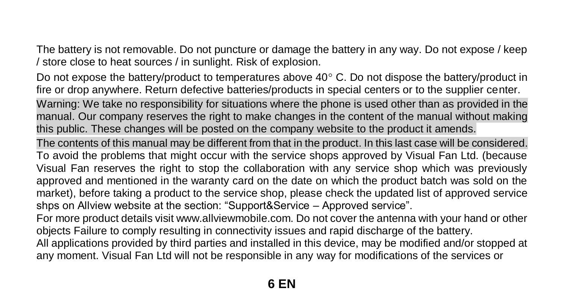The battery is not removable. Do not puncture or damage the battery in any way. Do not expose / keep / store close to heat sources / in sunlight. Risk of explosion.

Do not expose the battery/product to temperatures above 40° C. Do not dispose the battery/product in fire or drop anywhere. Return defective batteries/products in special centers or to the supplier center.

Warning: We take no responsibility for situations where the phone is used other than as provided in the manual. Our company reserves the right to make changes in the content of the manual without making this public. These changes will be posted on the company website to the product it amends.

The contents of this manual may be different from that in the product. In this last case will be considered.

To avoid the problems that might occur with the service shops approved by Visual Fan Ltd. (because Visual Fan reserves the right to stop the collaboration with any service shop which was previously approved and mentioned in the waranty card on the date on which the product batch was sold on the market), before taking a product to the service shop, please check the updated list of approved service shps on Allview website at the section: "Support&Service – Approved service".

For more product details visit www.allviewmobile.com. Do not cover the antenna with your hand or other objects Failure to comply resulting in connectivity issues and rapid discharge of the battery.

All applications provided by third parties and installed in this device, may be modified and/or stopped at any moment. Visual Fan Ltd will not be responsible in any way for modifications of the services or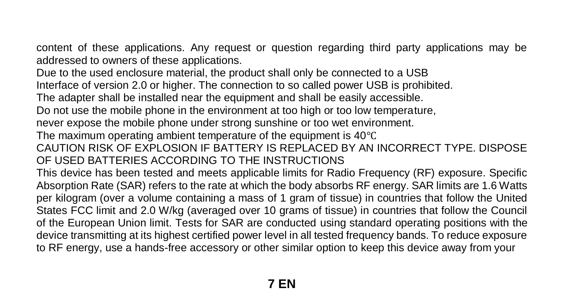content of these applications. Any request or question regarding third party applications may be addressed to owners of these applications.

Due to the used enclosure material, the product shall only be connected to a USB

Interface of version 2.0 or higher. The connection to so called power USB is prohibited.

The adapter shall be installed near the equipment and shall be easily accessible.

Do not use the mobile phone in the environment at too high or too low temperature.

never expose the mobile phone under strong sunshine or too wet environment.

The maximum operating ambient temperature of the equipment is 40℃

CAUTION RISK OF EXPLOSION IF BATTERY IS REPLACED BY AN INCORRECT TYPE. DISPOSE OF USED BATTERIES ACCORDING TO THE INSTRUCTIONS

This device has been tested and meets applicable limits for Radio Frequency (RF) exposure. Specific Absorption Rate (SAR) refers to the rate at which the body absorbs RF energy. SAR limits are 1.6 Watts per kilogram (over a volume containing a mass of 1 gram of tissue) in countries that follow the United States FCC limit and 2.0 W/kg (averaged over 10 grams of tissue) in countries that follow the Council of the European Union limit. Tests for SAR are conducted using standard operating positions with the device transmitting at its highest certified power level in all tested frequency bands. To reduce exposure to RF energy, use a hands-free accessory or other similar option to keep this device away from your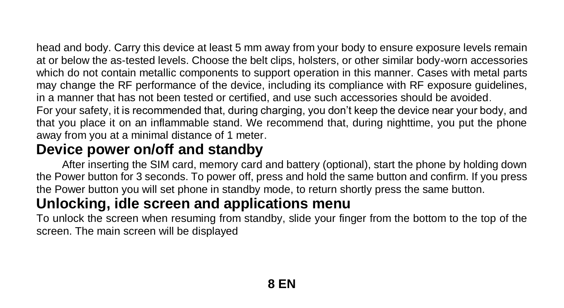head and body. Carry this device at least 5 mm away from your body to ensure exposure levels remain at or below the as-tested levels. Choose the belt clips, holsters, or other similar body-worn accessories which do not contain metallic components to support operation in this manner. Cases with metal parts may change the RF performance of the device, including its compliance with RF exposure guidelines, in a manner that has not been tested or certified, and use such accessories should be avoided.

For your safety, it is recommended that, during charging, you don't keep the device near your body, and that you place it on an inflammable stand. We recommend that, during nighttime, you put the phone away from you at a minimal distance of 1 meter.

#### **Device power on/off and standby**

After inserting the SIM card, memory card and battery (optional), start the phone by holding down the Power button for 3 seconds. To power off, press and hold the same button and confirm. If you press the Power button you will set phone in standby mode, to return shortly press the same button.

### **Unlocking, idle screen and applications menu**

To unlock the screen when resuming from standby, slide your finger from the bottom to the top of the screen. The main screen will be displayed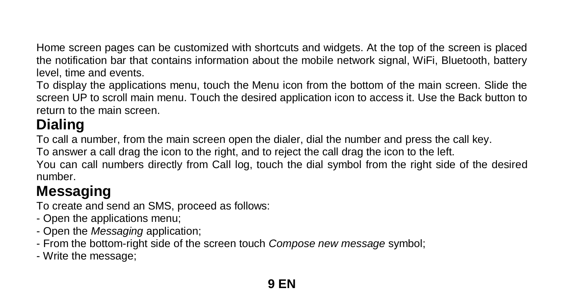Home screen pages can be customized with shortcuts and widgets. At the top of the screen is placed the notification bar that contains information about the mobile network signal, WiFi, Bluetooth, battery level, time and events.

To display the applications menu, touch the Menu icon from the bottom of the main screen. Slide the screen UP to scroll main menu. Touch the desired application icon to access it. Use the Back button to return to the main screen.

# **Dialing**

To call a number, from the main screen open the dialer, dial the number and press the call key.

To answer a call drag the icon to the right, and to reject the call drag the icon to the left.

You can call numbers directly from Call log, touch the dial symbol from the right side of the desired number.

# **Messaging**

To create and send an SMS, proceed as follows:

- Open the applications menu;
- Open the *Messaging* application;
- From the bottom-right side of the screen touch *Compose new message* symbol;
- Write the message;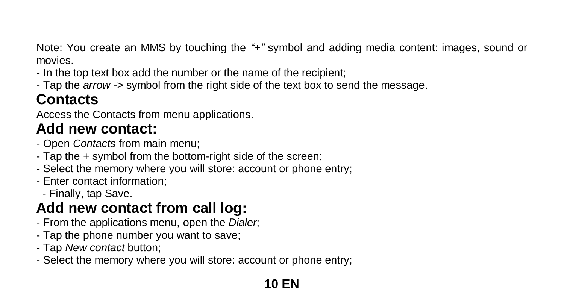Note: You create an MMS by touching the *"+"* symbol and adding media content: images, sound or movies.

- In the top text box add the number or the name of the recipient;
- Tap the *arrow ->* symbol from the right side of the text box to send the message.

# **Contacts**

Access the Contacts from menu applications.

# **Add new contact:**

- Open *Contacts* from main menu;
- Tap the + symbol from the bottom-right side of the screen;
- Select the memory where you will store: account or phone entry;
- Enter contact information;
	- Finally, tap Save.

# **Add new contact from call log:**

- From the applications menu, open the *Dialer*;
- Tap the phone number you want to save;
- Tap *New contact* button;
- Select the memory where you will store: account or phone entry;

### **10 EN**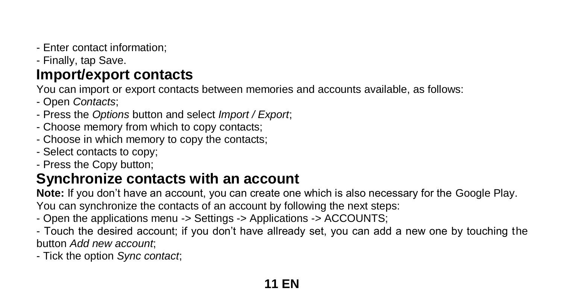- Enter contact information;
- Finally, tap Save.

### **Import/export contacts**

You can import or export contacts between memories and accounts available, as follows:

- Open *Contacts*;
- Press the *Options* button and select *Import / Export*;
- Choose memory from which to copy contacts;
- Choose in which memory to copy the contacts;
- Select contacts to copy;
- Press the Copy button;

# **Synchronize contacts with an account**

**Note:** If you don't have an account, you can create one which is also necessary for the Google Play.

You can synchronize the contacts of an account by following the next steps:

- Open the applications menu -> Settings -> Applications -> ACCOUNTS;

- Touch the desired account; if you don't have allready set, you can add a new one by touching the button *Add new account*;

- Tick the option *Sync contact*;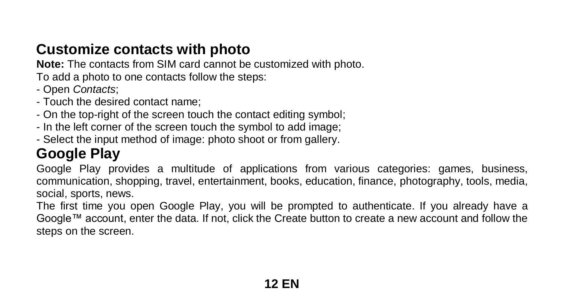# **Customize contacts with photo**

**Note:** The contacts from SIM card cannot be customized with photo. To add a photo to one contacts follow the steps:

- Open *Contacts*;
- Touch the desired contact name;
- On the top-right of the screen touch the contact editing symbol;
- In the left corner of the screen touch the symbol to add image;
- Select the input method of image: photo shoot or from gallery.

# **Google Play**

Google Play provides a multitude of applications from various categories: games, business, communication, shopping, travel, entertainment, books, education, finance, photography, tools, media, social, sports, news.

The first time you open Google Play, you will be prompted to authenticate. If you already have a Google™ account, enter the data. If not, click the Create button to create a new account and follow the steps on the screen.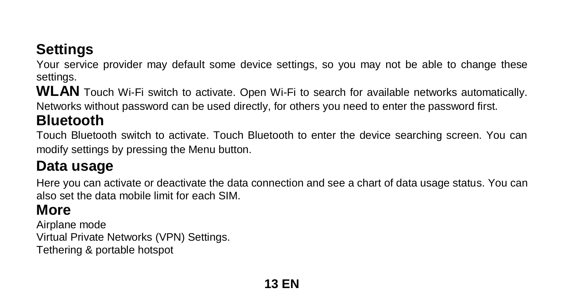# **Settings**

Your service provider may default some device settings, so you may not be able to change these settings.

**WLAN** Touch Wi-Fi switch to activate. Open Wi-Fi to search for available networks automatically. Networks without password can be used directly, for others you need to enter the password first.

#### **Bluetooth**

Touch Bluetooth switch to activate. Touch Bluetooth to enter the device searching screen. You can modify settings by pressing the Menu button.

### **Data usage**

Here you can activate or deactivate the data connection and see a chart of data usage status. You can also set the data mobile limit for each SIM.

### **More**

Airplane mode Virtual Private Networks (VPN) Settings. Tethering & portable hotspot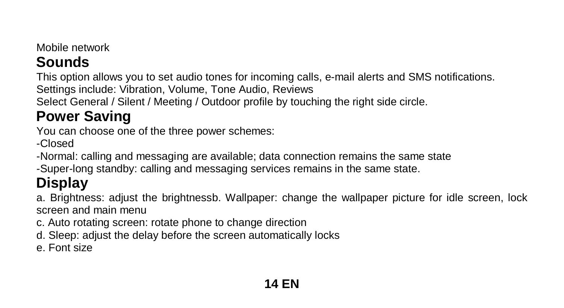#### Mobile network **Sounds**

This option allows you to set audio tones for incoming calls, e-mail alerts and SMS notifications.

Settings include: Vibration, Volume, Tone Audio, Reviews

Select General / Silent / Meeting / Outdoor profile by touching the right side circle.

# **Power Saving**

You can choose one of the three power schemes:

-Closed

-Normal: calling and messaging are available; data connection remains the same state

-Super-long standby: calling and messaging services remains in the same state.

# **Display**

a. Brightness: adjust the brightnessb. Wallpaper: change the wallpaper picture for idle screen, lock screen and main menu

c. Auto rotating screen: rotate phone to change direction

d. Sleep: adjust the delay before the screen automatically locks

e. Font size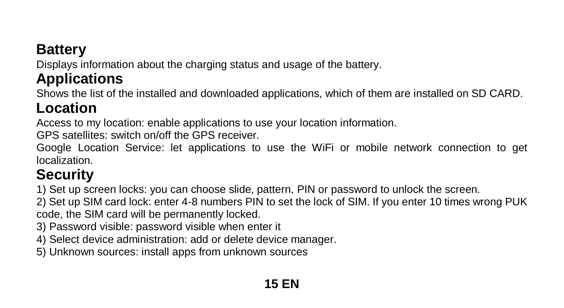# **Battery**

Displays information about the charging status and usage of the battery.

### **Applications**

Shows the list of the installed and downloaded applications, which of them are installed on SD CARD.

# **Location**

Access to my location: enable applications to use your location information.

GPS satellites: switch on/off the GPS receiver.

Google Location Service: let applications to use the WiFi or mobile network connection to get localization.

# **Security**

1) Set up screen locks: you can choose slide, pattern, PIN or password to unlock the screen.

2) Set up SIM card lock: enter 4-8 numbers PIN to set the lock of SIM. If you enter 10 times wrong PUK code, the SIM card will be permanently locked.

- 3) Password visible: password visible when enter it
- 4) Select device administration: add or delete device manager.

5) Unknown sources: install apps from unknown sources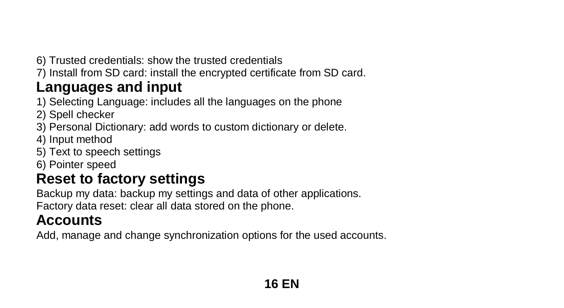6) Trusted credentials: show the trusted credentials

7) Install from SD card: install the encrypted certificate from SD card.

# **Languages and input**

1) Selecting Language: includes all the languages on the phone

2) Spell checker

3) Personal Dictionary: add words to custom dictionary or delete.

4) Input method

5) Text to speech settings

6) Pointer speed

# **Reset to factory settings**

Backup my data: backup my settings and data of other applications.

Factory data reset: clear all data stored on the phone.

# **Accounts**

Add, manage and change synchronization options for the used accounts.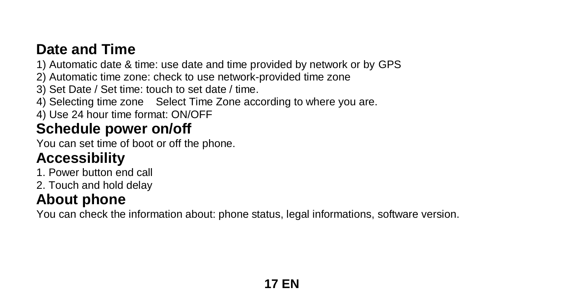# **Date and Time**

1) Automatic date & time: use date and time provided by network or by GPS

2) Automatic time zone: check to use network-provided time zone

3) Set Date / Set time: touch to set date / time.

4) Selecting time zone Select Time Zone according to where you are.

4) Use 24 hour time format: ON/OFF

# **Schedule power on/off**

You can set time of boot or off the phone.

### **Accessibility**

1. Power button end call

2. Touch and hold delay

### **About phone**

You can check the information about: phone status, legal informations, software version.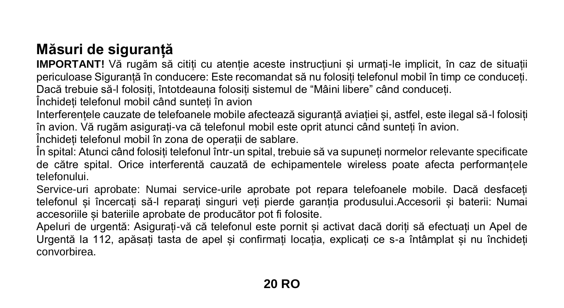# **Măsuri de siguranță**

**IMPORTANT!** Vă rugăm să citiți cu atenție aceste instrucțiuni și urmați-le implicit, în caz de situații periculoase Siguranță în conducere: Este recomandat să nu folosiți telefonul mobil în timp ce conduceți.

Dacă trebuie să-l folosiți, întotdeauna folosiți sistemul de "Mâini libere" când conduceți.

Închideți telefonul mobil când sunteți în avion

Interferențele cauzate de telefoanele mobile afectează siguranță aviației și, astfel, este ilegal să-l folosiți în avion. Vă rugăm asigurați-va că telefonul mobil este oprit atunci când sunteți în avion.

Închideți telefonul mobil în zona de operații de sablare.

În spital: Atunci când folosiți telefonul într-un spital, trebuie să va supuneți normelor relevante specificate de către spital. Orice interferentă cauzată de echipamentele wireless poate afecta performanțele telefonului.

Service-uri aprobate: Numai service-urile aprobate pot repara telefoanele mobile. Dacă desfaceți telefonul și încercați să-l reparați singuri veți pierde garanția produsului.Accesorii și baterii: Numai accesoriile și bateriile aprobate de producător pot fi folosite.

Apeluri de urgentă: Asigurați-vă că telefonul este pornit și activat dacă doriți să efectuați un Apel de Urgentă la 112, apăsați tasta de apel și confirmați locația, explicați ce s-a întâmplat și nu închideți convorbirea.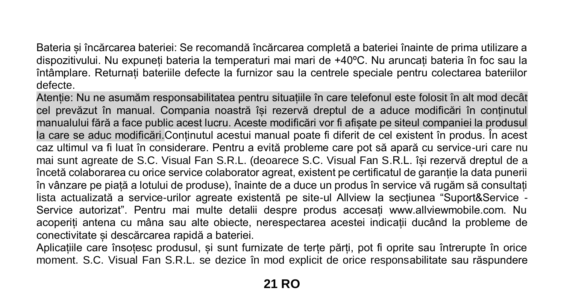Bateria și încărcarea bateriei: Se recomandă încărcarea completă a bateriei înainte de prima utilizare a dispozitivului. Nu expuneți bateria la temperaturi mai mari de +40ºC. Nu aruncați bateria în foc sau la întâmplare. Returnați bateriile defecte la furnizor sau la centrele speciale pentru colectarea bateriilor defecte.

Atenție: Nu ne asumăm responsabilitatea pentru situațiile în care telefonul este folosit în alt mod decât cel prevăzut în manual. Compania noastră își rezervă dreptul de a aduce modificări în conținutul manualului fără a face public acest lucru. Aceste modificări vor fi afișate pe siteul companiei la produsul la care se aduc modificări.Conținutul acestui manual poate fi diferit de cel existent în produs. În acest caz ultimul va fi luat în considerare. Pentru a evită probleme care pot să apară cu service-uri care nu mai sunt agreate de S.C. Visual Fan S.R.L. (deoarece S.C. Visual Fan S.R.L. își rezervă dreptul de a încetă colaborarea cu orice service colaborator agreat, existent pe certificatul de garanție la data punerii în vânzare pe piață a lotului de produse), înainte de a duce un produs în service vă rugăm să consultați lista actualizată a service-urilor agreate existentă pe site-ul Allview la secțiunea "Suport&Service - Service autorizat". Pentru mai multe detalii despre produs accesați www.allviewmobile.com. Nu acoperiți antena cu mâna sau alte obiecte, nerespectarea acestei indicații ducând la probleme de conectivitate și descărcarea rapidă a bateriei.

Aplicațiile care însoțesc produsul, și sunt furnizate de terțe părți, pot fi oprite sau întrerupte în orice moment. S.C. Visual Fan S.R.L. se dezice în mod explicit de orice responsabilitate sau răspundere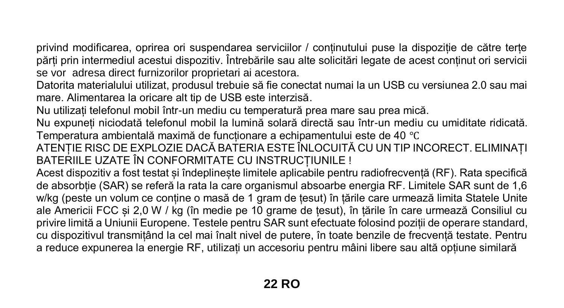privind modificarea, oprirea ori suspendarea serviciilor / conținutului puse la dispoziție de către terțe părți prin intermediul acestui dispozitiv. Întrebările sau alte solicitări legate de acest conținut ori servicii se vor adresa direct furnizorilor proprietari ai acestora.

Datorita materialului utilizat, produsul trebuie să fie conectat numai la un USB cu versiunea 2.0 sau mai mare. Alimentarea la oricare alt tip de USB este interzisă.

Nu utilizați telefonul mobil într-un mediu cu temperatură prea mare sau prea mică.

Nu expuneți niciodată telefonul mobil la lumină solară directă sau într-un mediu cu umiditate ridicată.

Temperatura ambientală maximă de funcționare a echipamentului este de 40 ℃

ATENȚIE RISC DE EXPLOZIE DACĂ BATERIA ESTE ÎNLOCUITĂ CU UN TIP INCORECT. ELIMINAȚI BATERIILE UZATE ÎN CONFORMITATE CU INSTRUCTIUNILE !

Acest dispozitiv a fost testat și îndeplinește limitele aplicabile pentru radiofrecvență (RF). Rata specifică de absorbție (SAR) se referă la rata la care organismul absoarbe energia RF. Limitele SAR sunt de 1,6 w/kg (peste un volum ce conține o masă de 1 gram de țesut) în țările care urmează limita Statele Unite ale Americii FCC și 2,0 W / kg (în medie pe 10 grame de țesut), în țările în care urmează Consiliul cu privire limită a Uniunii Europene. Testele pentru SAR sunt efectuate folosind poziții de operare standard, cu dispozitivul transmițând la cel mai înalt nivel de putere, în toate benzile de frecvență testate. Pentru a reduce expunerea la energie RF, utilizați un accesoriu pentru mâini libere sau altă opțiune similară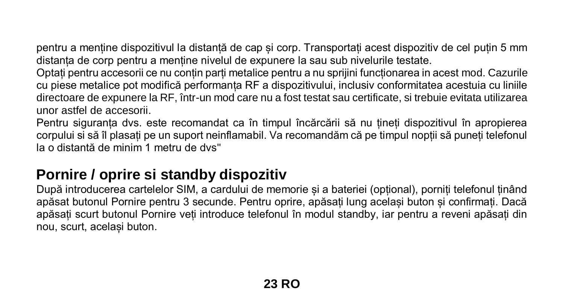pentru a menține dispozitivul la distanță de cap și corp. Transportați acest dispozitiv de cel puțin 5 mm distanța de corp pentru a menține nivelul de expunere la sau sub nivelurile testate.

Optați pentru accesorii ce nu conțin parți metalice pentru a nu sprijini funcționarea in acest mod. Cazurile cu piese metalice pot modifică performanța RF a dispozitivului, inclusiv conformitatea acestuia cu liniile directoare de expunere la RF, într-un mod care nu a fost testat sau certificate, si trebuie evitata utilizarea unor astfel de accesorii.

Pentru siguranța dvs. este recomandat ca în timpul încărcării să nu țineți dispozitivul în apropierea corpului si să îl plasați pe un suport neinflamabil. Va recomandăm că pe timpul nopții să puneți telefonul la o distantă de minim 1 metru de dvs"

#### **Pornire / oprire si standby dispozitiv**

După introducerea cartelelor SIM, a cardului de memorie și a bateriei (opțional), porniți telefonul ținând apăsat butonul Pornire pentru 3 secunde. Pentru oprire, apăsați lung același buton și confirmați. Dacă apăsați scurt butonul Pornire veți introduce telefonul în modul standby, iar pentru a reveni apăsați din nou, scurt, același buton.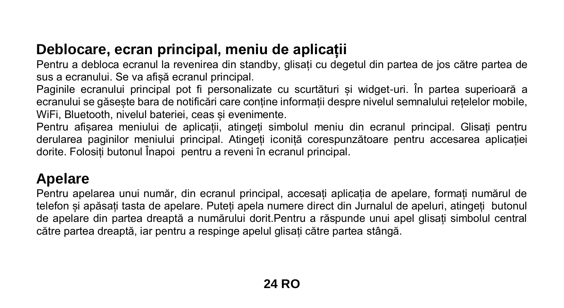### **Deblocare, ecran principal, meniu de aplicații**

Pentru a debloca ecranul la revenirea din standby, glisați cu degetul din partea de jos către partea de sus a ecranului. Se va afișă ecranul principal.

Paginile ecranului principal pot fi personalizate cu scurtături și widget-uri. În partea superioară a ecranului se găsește bara de notificări care conține informații despre nivelul semnalului rețelelor mobile, WiFi, Bluetooth, nivelul bateriei, ceas și evenimente.

Pentru afișarea meniului de aplicații, atingeți simbolul meniu din ecranul principal. Glisați pentru derularea paginilor meniului principal. Atingeți iconiță corespunzătoare pentru accesarea aplicației dorite. Folosiți butonul Înapoi pentru a reveni în ecranul principal.

#### **Apelare**

Pentru apelarea unui număr, din ecranul principal, accesați aplicația de apelare, formați numărul de telefon și apăsați tasta de apelare. Puteți apela numere direct din Jurnalul de apeluri, atingeți butonul de apelare din partea dreaptă a numărului dorit.Pentru a răspunde unui apel glisați simbolul central către partea dreaptă, iar pentru a respinge apelul glisați către partea stângă.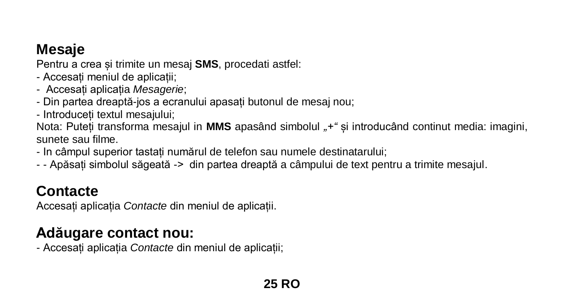### **Mesaje**

Pentru a crea și trimite un mesaj **SMS**, procedati astfel:

- Accesați meniul de aplicații;
- Accesați aplicația *Mesagerie*;
- Din partea dreaptă-jos a ecranului apasați butonul de mesaj nou;
- Introduceți textul mesajului;

Nota: Puteți transforma mesajul in **MMS** apasând simbolul *"+"* și introducând continut media: imagini, sunete sau filme.

- In câmpul superior tastați numărul de telefon sau numele destinatarului;

- - Apăsați simbolul săgeată -> din partea dreaptă a câmpului de text pentru a trimite mesajul.

### **Contacte**

Accesați aplicația *Contacte* din meniul de aplicații.

### **Adăugare contact nou:**

- Accesați aplicația *Contacte* din meniul de aplicații;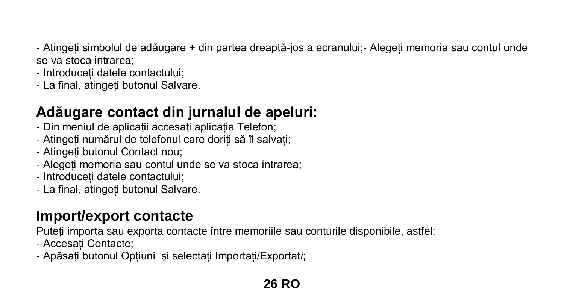- Atingeți simbolul de adăugare + din partea dreaptă-jos a ecranului;- Alegeți memoria sau contul unde se va stoca intrarea;

- Introduceți datele contactului;
- La final, atingeți butonul Salvare.

# **Adăugare contact din jurnalul de apeluri:**

- Din meniul de aplicații accesați aplicația Telefon;
- Atingeți numărul de telefonul care doriți să îl salvați;
- Atingeți butonul Contact nou;
- Alegeți memoria sau contul unde se va stoca intrarea;
- Introduceți datele contactului;
- La final, atingeți butonul Salvare.

### **Import/export contacte**

Puteți importa sau exporta contacte între memoriile sau conturile disponibile, astfel:

- Accesați Contacte;
- Apăsați butonul Opțiuni și selectați Importați/Exportat*i*;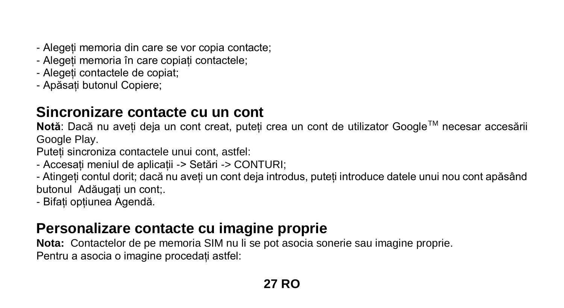- Alegeți memoria din care se vor copia contacte;
- Alegeți memoria în care copiați contactele;
- Alegeți contactele de copiat;
- Apăsați butonul Copiere;

### **Sincronizare contacte cu un cont**

Notă: Dacă nu aveți deja un cont creat, puteți crea un cont de utilizator Google™ necesar accesării Google Play.

Puteți sincroniza contactele unui cont, astfel:

- Accesați meniul de aplicații -> Setări -> CONTURI;

- Atingeți contul dorit; dacă nu aveți un cont deja introdus, puteți introduce datele unui nou cont apăsând butonul Adăugați un cont;.

- Bifați opțiunea Agendă*.*

### **Personalizare contacte cu imagine proprie**

**Nota:** Contactelor de pe memoria SIM nu li se pot asocia sonerie sau imagine proprie. Pentru a asocia o imagine procedați astfel: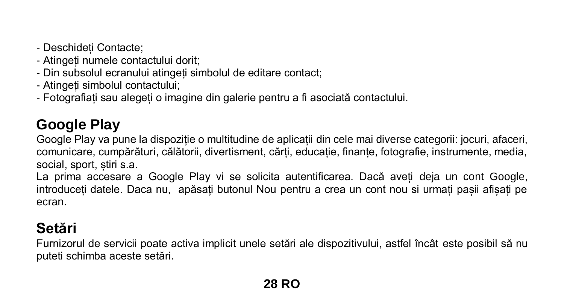- Deschideți Contacte;
- Atingeți numele contactului dorit;
- Din subsolul ecranului atingeți simbolul de editare contact;
- Atingeți simbolul contactului;
- Fotografiați sau alegeți o imagine din galerie pentru a fi asociată contactului.

# **Google Play**

Google Play va pune la dispoziție o multitudine de aplicații din cele mai diverse categorii: jocuri, afaceri, comunicare, cumpărături, călătorii, divertisment, cărți, educație, finanțe, fotografie, instrumente, media, social, sport, știri s.a.

La prima accesare a Google Play vi se solicita autentificarea. Dacă aveți deja un cont Google, introduceți datele. Daca nu, apăsați butonul Nou pentru a crea un cont nou si urmați pașii afișați pe ecran.

### **Setări**

Furnizorul de servicii poate activa implicit unele setări ale dispozitivului, astfel încât este posibil să nu puteti schimba aceste setări.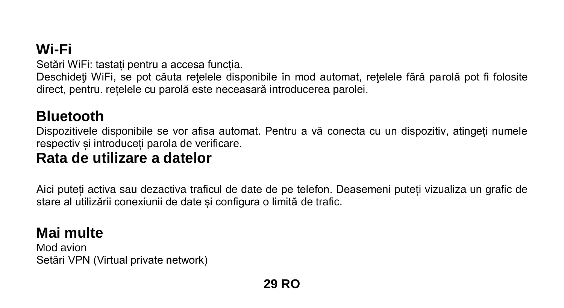### **Wi-Fi**

Setări WiFi: tastați pentru a accesa funcția.

Deschideti WiFi, se pot căuta rețelele disponibile în mod automat, rețelele fără parolă pot fi folosite direct, pentru. rețelele cu parolă este neceasară introducerea parolei.

#### **Bluetooth**

Dispozitivele disponibile se vor afisa automat. Pentru a vă conecta cu un dispozitiv, atingeți numele respectiv și introduceți parola de verificare.

### **Rata de utilizare a datelor**

Aici puteți activa sau dezactiva traficul de date de pe telefon. Deasemeni puteți vizualiza un grafic de stare al utilizării conexiunii de date și configura o limită de trafic.

### **Mai multe**

Mod avion Setări VPN (Virtual private network)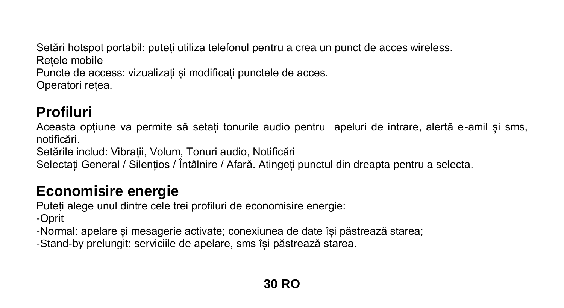Setări hotspot portabil: puteți utiliza telefonul pentru a crea un punct de acces wireless. Retele mobile Puncte de access: vizualizați și modificați punctele de acces. Operatori rețea.

# **Profiluri**

Aceasta opțiune va permite să setați tonurile audio pentru apeluri de intrare, alertă e-amil și sms, notificări.

Setările includ: Vibrații, Volum, Tonuri audio, Notificări

Selectați General / Silențios / Întâlnire / Afară. Atingeți punctul din dreapta pentru a selecta.

# **Economisire energie**

Puteți alege unul dintre cele trei profiluri de economisire energie: -Oprit

-Normal: apelare și mesagerie activate; conexiunea de date își păstrează starea;

-Stand-by prelungit: serviciile de apelare, sms își păstrează starea.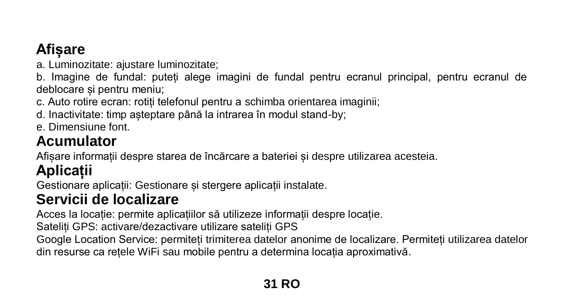# **Afișare**

a. Luminozitate: ajustare luminozitate;

b. Imagine de fundal: puteți alege imagini de fundal pentru ecranul principal, pentru ecranul de deblocare și pentru meniu;

c. Auto rotire ecran: rotiți telefonul pentru a schimba orientarea imaginii;

d. Inactivitate: timp așteptare până la intrarea în modul stand-by;

e. Dimensiune font.

# **Acumulator**

Afișare informații despre starea de încărcare a bateriei și despre utilizarea acesteia.

# **Aplicații**

Gestionare aplicații: Gestionare și stergere aplicații instalate.

# **Servicii de localizare**

Acces la locație: permite aplicațiilor să utilizeze informații despre locație.

Sateliți GPS: activare/dezactivare utilizare sateliți GPS

Google Location Service: permiteți trimiterea datelor anonime de localizare. Permiteți utilizarea datelor din resurse ca rețele WiFi sau mobile pentru a determina locația aproximativă.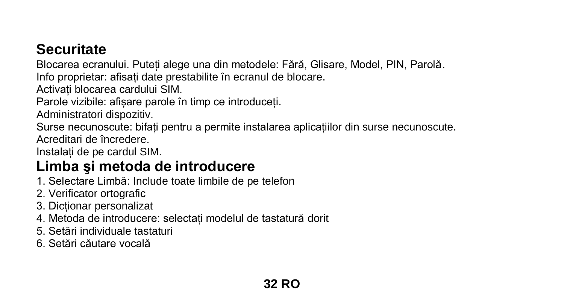# **Securitate**

Blocarea ecranului. Puteți alege una din metodele: Fără, Glisare, Model, PIN, Parolă.

Info proprietar: afisați date prestabilite în ecranul de blocare.

Activați blocarea cardului SIM.

Parole vizibile: afișare parole în timp ce introduceți.

Administratori dispozitiv.

Surse necunoscute: bifați pentru a permite instalarea aplicațiilor din surse necunoscute.

Acreditari de încredere.

Instalați de pe cardul SIM.

### **Limba şi metoda de introducere**

- 1. Selectare Limbă: Include toate limbile de pe telefon
- 2. Verificator ortografic
- 3. Dicționar personalizat
- 4. Metoda de introducere: selectați modelul de tastatură dorit
- 5. Setări individuale tastaturi
- 6. Setări căutare vocală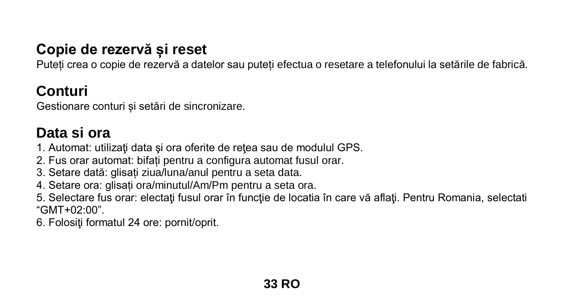# **Copie de rezervă și reset**

Puteți crea o copie de rezervă a datelor sau puteți efectua o resetare a telefonului la setările de fabrică.

### **Conturi**

Gestionare conturi și setări de sincronizare.

# **Data si ora**

1. Automat: utilizaţi data şi ora oferite de reţea sau de modulul GPS.

- 2. Fus orar automat: bifați pentru a configura automat fusul orar.
- 3. Setare dată: glisați ziua/luna/anul pentru a seta data.
- 4. Setare ora: glisați ora/minutul/Am/Pm pentru a seta ora.
- 5. Selectare fus orar: electaţi fusul orar în funcţie de locatia în care vă aflaţi. Pentru Romania, selectati "GMT+02:00".

6. Folositi formatul 24 ore: pornit/oprit.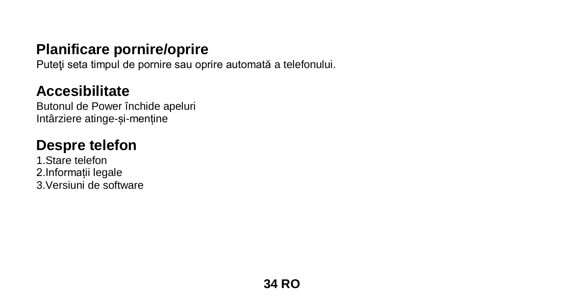### **Planificare pornire/oprire**

Puteți seta timpul de pornire sau oprire automată a telefonului.

### **Accesibilitate**

Butonul de Power închide apeluri Intârziere atinge-și-menține

## **Despre telefon**

1.Stare telefon 2.Informații legale 3.Versiuni de software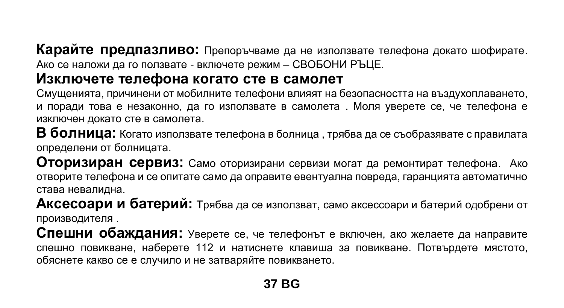**Карайте предпазливо:** Препоръчваме да не използвате телефона докато шофирате. Ако се наложи да го ползвате - включете режим – СВОБОНИ РЪЦЕ.

#### **Изключете телефона когато сте в самолет**

Смущенията, причинени от мобилните телефони влияят на безопасността на въздухоплаването, и поради това е незаконно, да го използвате в самолета . Моля уверете се, че телефона е изключен докато сте в самолета.

**В болница:** Когато използвате телефона в болница , трябва да се съобразявате с правилата определени от болницата.

**Оторизиран сервиз:** Само оторизирани сервизи могат да ремонтират телефона. Ако отворите телефона и се опитате само да оправите евентуална повреда, гаранцията автоматично става невалидна.

**Аксесоари и батерий:** Трябва да се използват, само аксессоари и батерий одобрени от производителя .

**Спешни обаждания:** Уверете се, че телефонът е включен, ако желаете да направите спешно повикване, наберете 112 и натиснете клавиша за повикване. Потвърдете мястото, обяснете какво се е случило и не затваряйте повикването.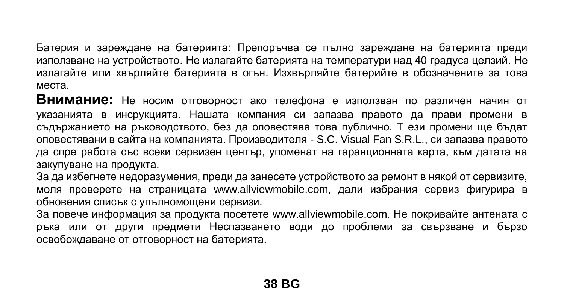Батерия и зареждане на батерията: Препоръчва се пълно зареждане на батерията преди използване на устройството. Не излагайте батерията на температури над 40 градуса целзий. Не излагайте или хвърляйте батерията в огън. Изхвърляйте батерийте в обозначените за това места.

**Внимание:** Не носим отговорност ако телефона е използван по различен начин от указанията в инсрукцията. Нашата компания си запазва правото да прави промени в съдържанието на ръководството, без да оповестява това публично. Т ези промени ще бъдат оповестявани в сайта на компанията. Производителя - S.C. Visual Fan S.R.L., си запазва правото да спре работа със всеки сервизен център, упоменат на гаранционната карта, към датата на закупуване на продукта.

За да избегнете недоразумения, преди да занесете устройството за ремонт в някой от сервизите, моля проверете на страницата www.allviewmobile.com, дали избрания сервиз фигурира в обновения списък с упълномощени сервизи.

За повече информация за продукта посетете www.allviewmobile.com. Не покривайте антената с ръка или от други предмети Неспазването води до проблеми за свързване и бързо освобождаване от отговорност на батерията.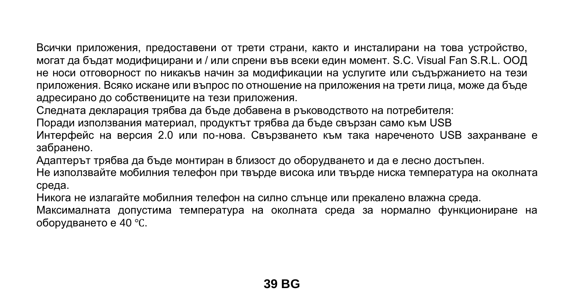Всички приложения, предоставени от трети страни, както и инсталирани на това устройство, могат да бъдат модифицирани и / или спрени във всеки един момент. S.C. Visual Fan S.R.L. ООЛ не носи отговорност по никакъв начин за модификации на услугите или съдържанието на тези приложения. Всяко искане или въпрос по отношение на приложения на трети лица, може да бъде адресирано до собствениците на тези приложения.

Следната декларация трябва да бъде добавена в ръководството на потребителя:

Поради използвания материал, продуктът трябва да бъде свързан само към USB

Интерфейс на версия 2.0 или по-нова. Свързването към така нареченото USB захранване е забранено.

Адаптерът трябва да бъде монтиран в близост до оборудването и да е лесно достъпен.

Не използвайте мобилния телефон при твърде висока или твърде ниска температура на околната среда.

Никога не излагайте мобилния телефон на силно слънце или прекалено влажна среда.

Максималната допустима температура на околната среда за нормално функциониране на оборудването е 40 ℃.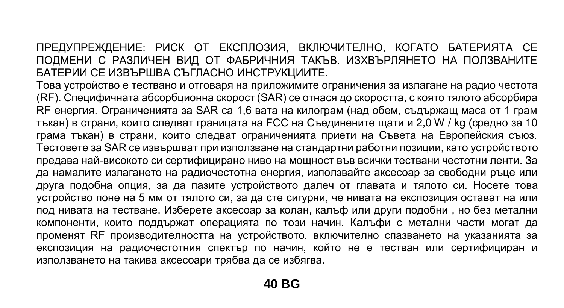ПРЕДУПРЕЖДЕНИЕ: РИСК ОТ ЕКСПЛОЗИЯ, ВКЛЮЧИТЕЛНО, КОГАТО БАТЕРИЯТА СЕ ПОДМЕНИ С РАЗЛИЧЕН ВИД ОТ ФАБРИЧНИЯ ТАКЪВ. ИЗХВЪРЛЯНЕТО НА ПОЛЗВАНИТЕ БАТЕРИИ СЕ ИЗВЪРШВА СЪГЛАСНО ИНСТРУКЦИИТЕ.

Това устройство е тествано и отговаря на приложимите ограничения за излагане на радио честота (RF). Специфичната абсорбционна скорост (SAR) се отнася до скоростта, с която тялото абсорбира RF енергия. Ограниченията за SAR са 1,6 вата на килограм (над обем, съдържащ маса от 1 грам тъкан) в страни, които следват границата на FCC на Съединените щати и 2,0 W / kg (средно за 10 грама тъкан) в страни, които следват ограниченията приети на Съвета на Европейския съюз. Тестовете за SAR се извършват при използване на стандартни работни позиции, като устройството предава най-високото си сертифицирано ниво на мощност във всички тествани честотни ленти. За да намалите излагането на радиочестотна енергия, използвайте аксесоар за свободни ръце или друга подобна опция, за да пазите устройството далеч от главата и тялото си. Носете това устройство поне на 5 мм от тялото си, за да сте сигурни, че нивата на експозиция остават на или под нивата на тестване. Изберете аксесоар за колан, калъф или други подобни , но без метални компоненти, които поддържат операцията по този начин. Калъфи с метални части могат да променят RF производителността на устройството, включително спазването на указанията за експозиция на радиочестотния спектър по начин, който не е тестван или сертифициран и използването на такива аксесоари трябва да се избягва.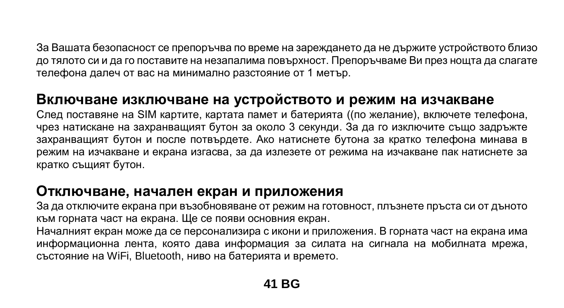За Вашата безопасност се препоръчва по време на зареждането да не държите устройството близо до тялото си и да го поставите на незапалима повърхност. Препоръчваме Ви през нощта да слагате телефона далеч от вас на минимално разстояние от 1 метър.

#### **Включване изключване на устройството и режим на изчакване**

След поставяне на SIM картите, картата памет и батерията ((по желание), включете телефона, чрез натискане на захранващият бутон за около 3 секунди. За да го изключите също задръжте захранващият бутон и после потвърдете. Ако натиснете бутона за кратко телефона минава в режим на изчакване и екрана изгасва, за да излезете от режима на изчакване пак натиснете за кратко същият бутон.

#### **Отключване, начален екран и приложения**

За да отключите екрана при възобновяване от режим на готовност, плъзнете пръста си от дъното към горната част на екрана. Ще се появи основния екран.

Началният екран може да се персонализира с икони и приложения. В горната част на екрана има информационна лента, която дава информация за силата на сигнала на мобилната мрежа, състояние на WiFi, Bluetooth, ниво на батерията и времето.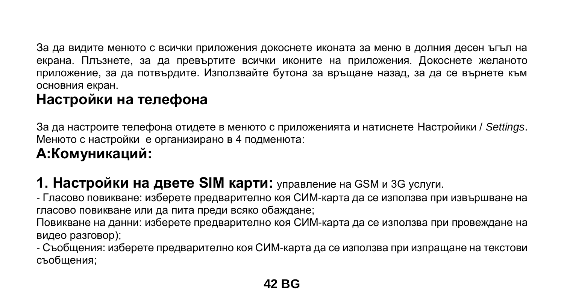За да видите менюто с всички приложения докоснете иконата за меню в долния десен ъгъл на екрана. Плъзнете, за да превъртите всички иконите на приложения. Докоснете желаното приложение, за да потвърдите. Използвайте бутона за връщане назад, за да се върнете към основния екран.

#### **Настройки на телефона**

За да настроите телефона отидете в менюто с приложенията и натиснете Настройики / *Settings*. Менюто с настройки е организирано в 4 подменюта:

#### **А:Комуникаций:**

### **1. Настройки на двете SIM карти:** управление на GSM и 3G услуги.

- Гласово повикване: изберете предварително коя СИМ-карта да се използва при извършване на гласово повикване или да пита преди всяко обаждане;

Повикване на данни: изберете предварително коя СИМ-карта да се използва при провеждане на видео разговор);

- Съобщения: изберете предварително коя СИМ-карта да се използва при изпращане на текстови съобщения;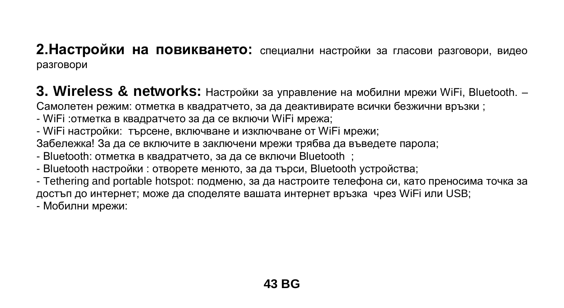**2.Настройки на повикването:** специални настройки за гласови разговори, видео разговори

**3. Wireless & networks:** Настройки за управление на мобилни мрежи WiFi, Bluetooth. –

Самолетен режим: отметка в квадратчето, за да деактивирате всички безжични връзки ;

- WiFi :отметка в квадратчето за да се включи WiFi мрежа;
- WiFi настройки: търсене, включване и изключване от WiFi мрежи;

Забележка! За да се включите в заключени мрежи трябва да въведете парола;

- $-$  Bluetooth: отметка в квадратчето, за да се включи Bluetooth :
- Bluetooth настройки : отворете менюто, за да търси, Bluetooth устройства;
- Tethering and portable hotspot: подменю, за да настроите телефона си, като преносима точка за достъп до интернет; може да споделяте вашата интернет връзка чрез WiFi или USB;

- Мобилни мрежи: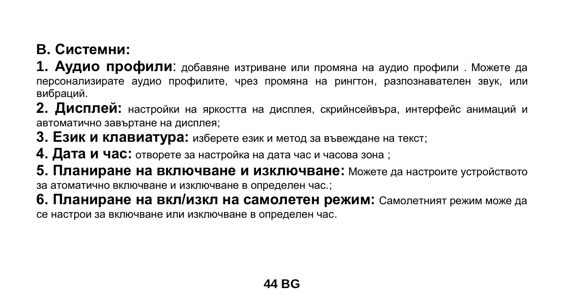## **B. Системни:**

**1. Аудио профили**: добавяне изтриване или промяна на аудио профили . Можете да персонализирате аудио профилите, чрез промяна на рингтон, разпознавателен звук, или вибраций.

**2. Дисплей:** настройки на яркостта на дисплея, скрийнсейвъра, интерфейс анимаций и автоматично завъртане на дисплея;

**3. Език и клавиатура:** изберете език и метод за въвеждане на текст;

**4. Дата и час:** отворете за настройка на дата час и часова зона ;

**5. Планиране на включване и изключване:** Можете да настроите устройството за атоматично включване и изключване в определен час.;

**6. Планиране на вкл/изкл на самолетен режим:** Самолетният режим може да се настрои за включване или изключване в определен час.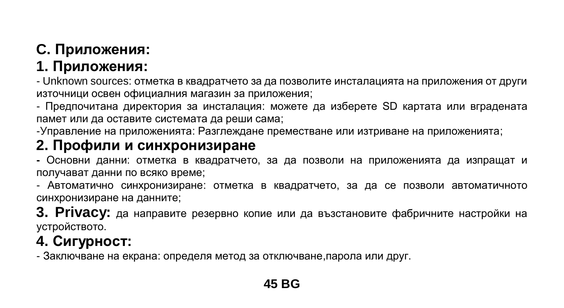#### **C. Приложения: 1. Приложения:**

- Unknown sources: отметка в квадратчето за да позволите инсталацията на приложения от други източници освен официалния магазин за приложения;

- Предпочитана директория за инсталация: можете да изберете SD картата или вградената памет или да оставите системата да реши сама;

-Управление на приложенията: Разглеждане преместване или изтриване на приложенията;

#### **2. Профили и синхронизиране**

**-** Основни данни: отметка в квадратчето, за да позволи на приложенията да изпращат и получават данни по всяко време;

- Автоматично синхронизиране: отметка в квадратчето, за да се позволи автоматичното синхронизиране на данните;

**3. Privacy:** да направите резервно копие или да възстановите фабричните настройки на устройството.

## **4. Сигурност:**

- Заключване на екрана: определя метод за отключване,парола или друг.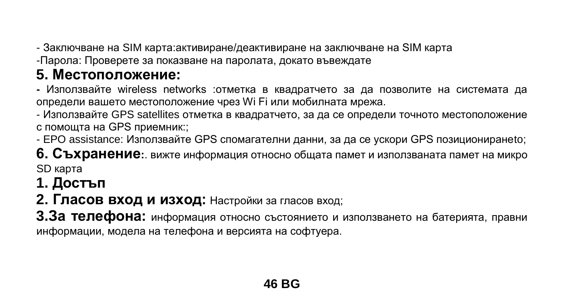- Заключване на SIM карта:активиране/деактивиране на заключване на SIM карта -Парола: Проверете за показване на паролата, докато въвеждате

#### **5. Местоположение:**

**-** Използвайте wireless networks :отметка в квадратчето за да позволите на системата да определи вашето местоположение чрез Wi Fi или мобилната мрежа.

- Използвайте GPS satellites отметка в квадратчето, за да се определи точното местоположение с помощта на GPS приемник:;

- EPO assistance: Използвайте GPS спомагателни данни, за да се ускори GPS позициониранеto;

**6. Съхранение:**. вижте информация относно общата памет и използваната памет на микро SD карта

### **1. Достъп**

**2. Гласов вход и изход:** Настройки за гласов вход;

**3.За телефона:** информация относно състоянието и използването на батерията, правни информации, модела на телефона и версията на софтуера.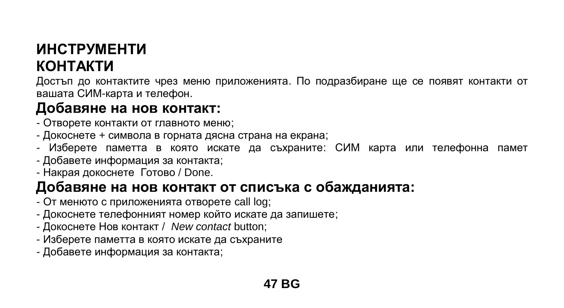## **ИНСТРУМЕНТИ КОНТАКТИ**

Достъп до контактите чрез меню приложенията. По подразбиране ще се появят контакти от вашата СИМ-карта и телефон.

#### **Добавяне на нов контакт:**

- Отворете контакти от главното меню;
- Докоснете + символа в горната дясна страна на екрана;
- Изберете паметта в която искате да съхраните: СИМ карта или телефонна памет
- Добавете информация за контакта;
- Накрая докоснете Готово / Done.

#### **Добавяне на нов контакт от списъка с обажданията:**

- От менюто с приложенията отворете call log;
- Докоснете телефонният номер който искате да запишете;
- Докоснете Нов контакт / *New contact* button;
- Изберете паметта в която искате да съхраните
- Добавете информация за контакта;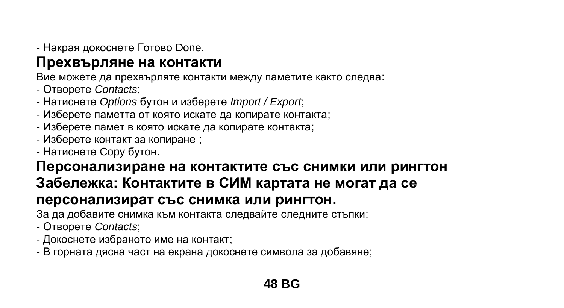- Накрая докоснете Готово Done.

#### **Прехвърляне на контакти**

Вие можете да прехвърляте контакти между паметите както следва:

- Отворете *Contacts*;

- Натиснете *Options* бутон и изберете *Import / Export*;

- Изберете паметта от която искате да копирате контакта;
- Изберете памет в която искате да копирате контакта;
- Изберете контакт за копиране ;

- Натиснете Copy бутон.

#### **Персонализиране на контактите със снимки или рингтон Забележка: Контактите в СИМ картата не могат да се персонализират със снимка или рингтон.**

За да добавите снимка към контакта следвайте следните стъпки:

- Отворете *Contacts*;
- Докоснете избраното име на контакт;
- В горната дясна част на екрана докоснете символа за добавяне;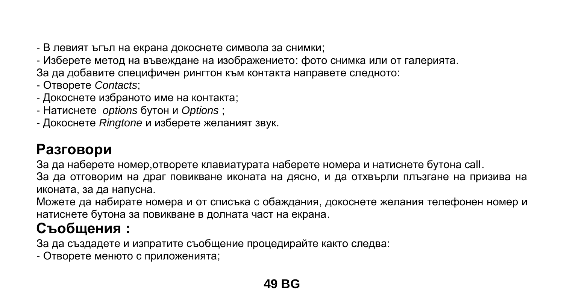- В левият ъгъл на екрана докоснете символа за снимки;

- Изберете метод на въвеждане на изображението: фото снимка или от галерията. За да добавите специфичен рингтон към контакта направете следното:

- Отворете *Contacts*;

- Докоснете избраното име на контакта;
- Натиснете *options* бутон и *Options* ;
- Докоснете *Ringtone* и изберете желаният звук.

## **Разговори**

За да наберете номер,отворете клавиатурата наберете номера и натиснете бутона call.

За да отговорим на драг повикване иконата на дясно, и да отхвърли плъзгане на призива на иконата, за да напусна.

Можете да набирате номера и от списъка с обаждания, докоснете желания телефонен номер и натиснете бутона за повикване в долната част на екрана.

## **Съобщения :**

За да създадете и изпратите съобщение процедирайте както следва:

- Отворете менюто с приложенията;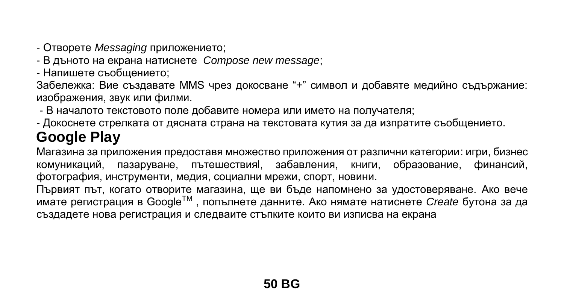- Отворете *Messaging* приложението;

- В дъното на екрана натиснете *Compose new message*;

- Напишете съобщението;

Забележка: Вие създавате MMS чрез докосване "+" символ и добавяте медийно съдържание: изображения, звук или филми.

- В началото текстовото поле добавите номера или името на получателя;

- Докоснете стрелката от дясната страна на текстовата кутия за да изпратите съобщението.

## **Google Play**

Магазина за приложения предоставя множество приложения от различни категории: игри, бизнес комуникаций, пазаруване, пътешествияl, забавления, книги, образование, финансий, фотография, инструменти, медия, социални мрежи, спорт, новини.

Първият път, когато отворите магазина, ще ви бъде напомнено за удостоверяване. Ако вече имате регистрация в GoogleTM , попълнете данните. Ако нямате натиснете *Create* бутона за да създадете нова регистрация и следваите стъпките които ви изписва на екрана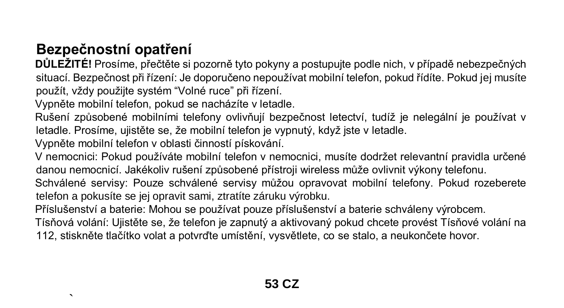#### **Bezpečnostní opatření**

 $\mathbb{R}^2$ 

**DŮLEŽITÉ!** Prosíme, přečtěte si pozorně tyto pokyny a postupujte podle nich, v případě nebezpečných situací. Bezpečnost při řízení: Je doporučeno nepoužívat mobilní telefon, pokud řídíte. Pokud jej musíte použít, vždy použijte systém "Volné ruce" při řízení.

Vypněte mobilní telefon, pokud se nacházíte v letadle.

Rušení způsobené mobilními telefony ovlivňují bezpečnost letectví, tudíž je nelegální je používat v letadle. Prosíme, ujistěte se, že mobilní telefon je vypnutý, když jste v letadle.

Vypněte mobilní telefon v oblasti činností pískování.

V nemocnici: Pokud používáte mobilní telefon v nemocnici, musíte dodržet relevantní pravidla určené danou nemocnicí. Jakékoliv rušení způsobené přístroji wireless může ovlivnit výkony telefonu.

Schválené servisy: Pouze schválené servisy můžou opravovat mobilní telefony. Pokud rozeberete telefon a pokusíte se jej opravit sami, ztratíte záruku výrobku.

Příslušenství a baterie: Mohou se používat pouze příslušenství a baterie schváleny výrobcem.

Tísňová volání: Ujistěte se, že telefon je zapnutý a aktivovaný pokud chcete provést Tísňové volání na

112, stiskněte tlačítko volat a potvrďte umístění, vysvětlete, co se stalo, a neukončete hovor.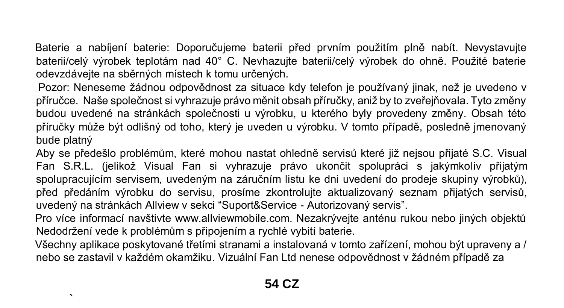Baterie a nabíjení baterie: Doporučujeme baterii před prvním použitím plně nabít. Nevystavujte baterii/celý výrobek teplotám nad 40° C. Nevhazujte baterii/celý výrobek do ohně. Použité baterie odevzdávejte na sběrných místech k tomu určených.

Pozor: Neneseme žádnou odpovědnost za situace kdy telefon je používaný jinak, než je uvedeno v příručce. Naše společnost si vyhrazuje právo měnit obsah příručky, aniž by to zveřejňovala. Tyto změny budou uvedené na stránkách společnosti u výrobku, u kterého byly provedeny změny. Obsah této příručky může být odlišný od toho, který je uveden u výrobku. V tomto případě, posledně jmenovaný bude platný

Aby se předešlo problémům, které mohou nastat ohledně servisů které již nejsou přijaté S.C. Visual Fan S.R.L. (jelikož Visual Fan si vyhrazuje právo ukončit spolupráci s jakýmkoliv přijatým spolupracujícím servisem, uvedeným na záručním listu ke dni uvedení do prodeje skupiny výrobků), před předáním výrobku do servisu, prosíme zkontrolujte aktualizovaný seznam přijatých servisů, uvedený na stránkách Allview v sekci "Suport&Service - Autorizovaný servis".

Pro více informací navštivte www.allviewmobile.com. Nezakrývejte anténu rukou nebo jiných objektů Nedodržení vede k problémům s připojením a rychlé vybití baterie.

Všechny aplikace poskytované třetími stranami a instalovaná v tomto zařízení, mohou být upraveny a / nebo se zastavil v každém okamžiku. Vizuální Fan Ltd nenese odpovědnost v žádném případě za

 $\overline{\phantom{a}}$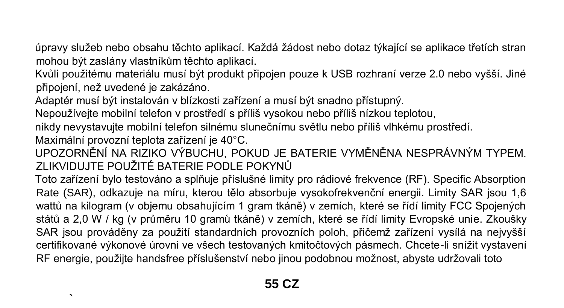úpravy služeb nebo obsahu těchto aplikací. Každá žádost nebo dotaz týkající se aplikace třetích stran mohou být zaslány vlastníkům těchto aplikací.

Kvůli použitému materiálu musí být produkt připojen pouze k USB rozhraní verze 2.0 nebo vyšší. Jiné připojení, než uvedené je zakázáno.

Adaptér musí být instalován v blízkosti zařízení a musí být snadno přístupný.

Nepoužívejte mobilní telefon v prostředí s příliš vysokou nebo příliš nízkou teplotou,

nikdy nevystavujte mobilní telefon silnému slunečnímu světlu nebo příliš vlhkému prostředí.

Maximální provozní teplota zařízení je 40°C.

UPOZORNĚNÍ NA RIZIKO VÝBUCHU, POKUD JE BATERIE VYMĚNĚNA NESPRÁVNÝM TYPEM. ZLIKVIDLUTE POUŽITÉ BATERIE PODLE POKYNŮ

Toto zařízení bylo testováno a splňuje příslušné limity pro rádiové frekvence (RF). Specific Absorption Rate (SAR), odkazuje na míru, kterou tělo absorbuje vysokofrekvenční energii. Limity SAR jsou 1,6 wattů na kilogram (v objemu obsahujícím 1 gram tkáně) v zemích, které se řídí limity FCC Spojených států a 2,0 W / kg (v průměru 10 gramů tkáně) v zemích, které se řídí limity Evropské unie. Zkoušky SAR jsou prováděny za použití standardních provozních poloh, přičemž zařízení vysílá na nejvyšší certifikované výkonové úrovni ve všech testovaných kmitočtových pásmech. Chcete-li snížit vystavení RF energie, použijte handsfree příslušenství nebo jinou podobnou možnost, abyste udržovali toto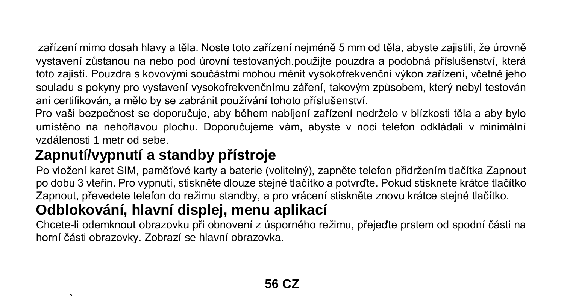zařízení mimo dosah hlavy a těla. Noste toto zařízení nejméně 5 mm od těla, abyste zajistili, že úrovně vystavení zůstanou na nebo pod úrovní testovaných.použijte pouzdra a podobná příslušenství, která toto zajistí. Pouzdra s kovovými součástmi mohou měnit vysokofrekvenční výkon zařízení, včetně jeho souladu s pokyny pro vystavení vysokofrekvenčnímu záření, takovým způsobem, který nebyl testován ani certifikován, a mělo by se zabránit používání tohoto příslušenství.

Pro vaši bezpečnost se doporučuje, aby během nabíjení zařízení nedrželo v blízkosti těla a aby bylo umístěno na nehořlavou plochu. Doporučujeme vám, abyste v noci telefon odkládali v minimální vzdálenosti 1 metr od sebe.

## **Zapnutí/vypnutí a standby přístroje**

 $\overline{\phantom{a}}$ 

Po vložení karet SIM, paměťové karty a baterie (volitelný), zapněte telefon přidržením tlačítka Zapnout po dobu 3 vteřin. Pro vypnutí, stiskněte dlouze stejné tlačítko a potvrďte. Pokud stisknete krátce tlačítko Zapnout, převedete telefon do režimu standby, a pro vrácení stiskněte znovu krátce stejné tlačítko. **Odblokování, hlavní displej, menu aplikací** 

Chcete-li odemknout obrazovku při obnovení z úsporného režimu, přejeďte prstem od spodní části na horní části obrazovky. Zobrazí se hlavní obrazovka.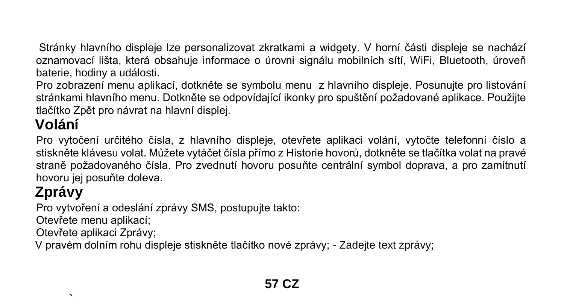Stránky hlavního displeje lze personalizovat zkratkami a widgety. V horní části displeje se nachází oznamovací lišta, která obsahuje informace o úrovni signálu mobilních sítí, WiFi, Bluetooth, úroveň baterie, hodiny a události.

Pro zobrazení menu aplikací, dotkněte se symbolu menu z hlavního displeje. Posunujte pro listování stránkami hlavního menu. Dotkněte se odpovídající ikonky pro spuštění požadované aplikace. Použijte tlačítko Zpět pro návrat na hlavní displej.

#### **Volání**

Pro vytočení určitého čísla, z hlavního displeje, otevřete aplikaci volání, vytočte telefonní číslo a stiskněte klávesu volat. Můžete vytáčet čísla přímo z Historie hovorů, dotkněte se tlačítka volat na pravé straně požadovaného čísla. Pro zvednutí hovoru posuňte centrální symbol doprava, a pro zamítnutí hovoru jej posuňte doleva.

## **Zprávy**

Pro vytvoření a odeslání zprávy SMS, postupujte takto:

Otevřete menu aplikací;

Otevřete anlikaci Zprávy:

V pravém dolním rohu displeje stiskněte tlačítko nové zprávy; - Zadejte text zprávy;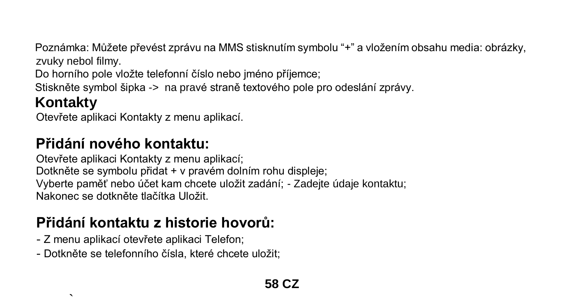Poznámka: Můžete převést zprávu na MMS stisknutím symbolu "+" a vložením obsahu media: obrázky, zvuky nebol filmy.

Do horního pole vložte telefonní číslo nebo jméno příjemce;

Stiskněte symbol šipka -> na pravé straně textového pole pro odeslání zprávy.

#### **Kontakty**

Otevřete aplikaci Kontakty z menu aplikací.

## **Přidání nového kontaktu:**

Otevřete aplikaci Kontakty z menu aplikací; Dotkněte se symbolu přidat + v pravém dolním rohu displeje; Vyberte paměť nebo účet kam chcete uložit zadání; - Zadejte údaje kontaktu; Nakonec se dotkněte tlačítka Uložit.

## **Přidání kontaktu z historie hovorů:**

- Z menu aplikací otevřete aplikaci Telefon;
- Dotkněte se telefonního čísla, které chcete uložit;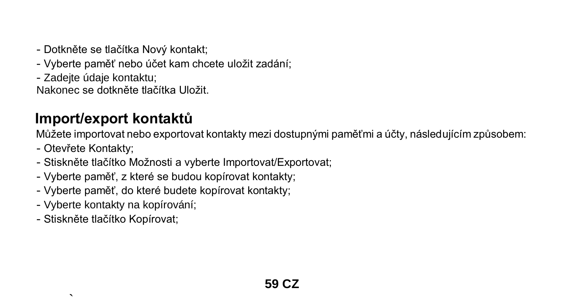- Dotkněte se tlačítka Nový kontakt;

- Vyberte paměť nebo účet kam chcete uložit zadání;

- Zadejte údaje kontaktu;

Nakonec se dotkněte tlačítka Uložit.

#### **Import/export kontaktů**

Můžete importovat nebo exportovat kontakty mezi dostupnými paměťmi a účty, následujícím způsobem:

- Otevřete Kontakty;

- Stiskněte tlačítko Možnosti a vyberte Importovat/Exportovat;
- Vyberte paměť, z které se budou kopírovat kontakty;
- Vyberte paměť, do které budete kopírovat kontakty;
- Vyberte kontakty na kopírování;
- Stiskněte tlačítko Kopírovat;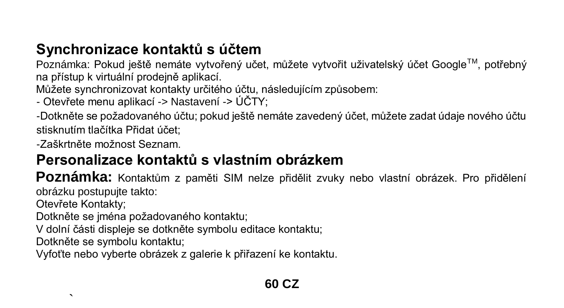### **Synchronizace kontaktů s účtem**

Poznámka: Pokud ještě nemáte vytvořený učet, můžete vytvořit uživatelský účet Google™, potřebný na přístup k virtuální prodejně aplikací.

Můžete synchronizovat kontakty určitého účtu, následujícím způsobem:

- Otevřete menu aplikací -> Nastavení -> ÚČTY;

-Dotkněte se požadovaného účtu; pokud ještě nemáte zavedený účet, můžete zadat údaje nového účtu stisknutím tlačítka Přidat účet;

-Zaškrtněte možnost Seznam.

### **Personalizace kontaktů s vlastním obrázkem**

**Poznámka:** Kontaktům z paměti SIM nelze přidělit zvuky nebo vlastní obrázek. Pro přidělení obrázku postupujte takto:

Otevřete Kontakty;

Dotkněte se jména požadovaného kontaktu;

V dolní části displeje se dotkněte symbolu editace kontaktu;

Dotkněte se symbolu kontaktu;

Vyfoťte nebo vyberte obrázek z galerie k přiřazení ke kontaktu.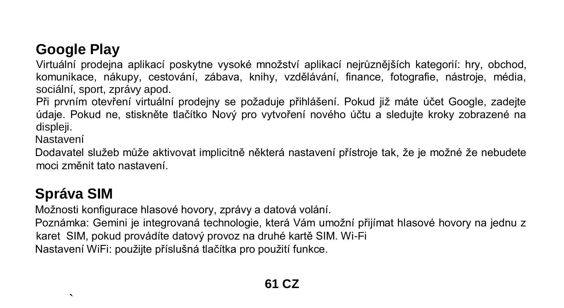## **Google Play**

Virtuální prodejna aplikací poskytne vysoké množství aplikací nejrůznějších kategorií: hry, obchod, komunikace, nákupy, cestování, zábava, knihy, vzdělávání, finance, fotografie, nástroje, média, sociální, sport, zprávy apod.

Při prvním otevření virtuální prodejny se požaduje přihlášení. Pokud již máte účet Google, zadejte údaje. Pokud ne, stiskněte tlačítko Nový pro vytvoření nového účtu a sledujte kroky zobrazené na displeji.

Nastavení

Dodavatel služeb může aktivovat implicitně některá nastavení přístroje tak, že je možné že nebudete moci změnit tato nastavení.

#### **Správa SIM**

Možnosti konfigurace hlasové hovory, zprávy a datová volání.

Poznámka: Gemini je integrovaná technologie, která Vám umožní přijímat hlasové hovory na jednu z karet SIM, pokud provádíte datový provoz na druhé kartě SIM. Wi-Fi Nastavení WiFi: použijte příslušná tlačítka pro použití funkce.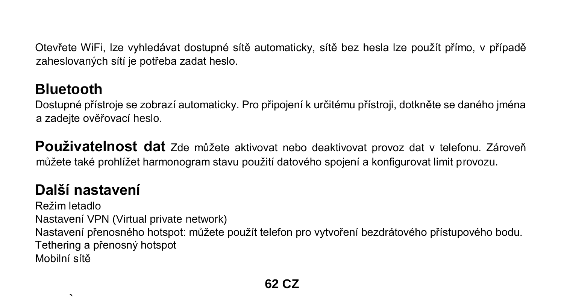Otevřete WiFi, lze vyhledávat dostupné sítě automaticky, sítě bez hesla lze použít přímo, v případě zaheslovaných sítí je potřeba zadat heslo.

#### **Bluetooth**

Dostupné přístroje se zobrazí automaticky. Pro připojení k určitému přístroji, dotkněte se daného jména a zadejte ověřovací heslo.

**Použivatelnost dat** Zde můžete aktivovat nebo deaktivovat provoz dat v telefonu. Zároveň můžete také prohlížet harmonogram stavu použití datového spojení a konfigurovat limit provozu.

## **Další nastavení**

Režim letadlo Nastavení VPN (Virtual private network) Nastavení přenosného hotspot: můžete použít telefon pro vytvoření bezdrátového přístupového bodu. Tethering a přenosný hotspot Mobilní sítě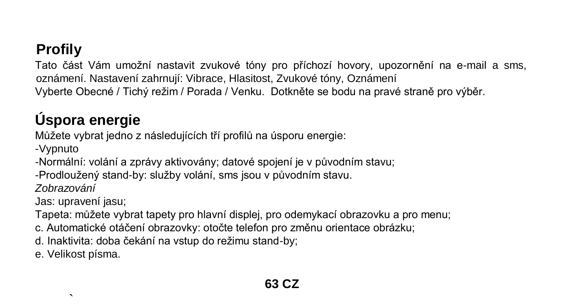## **Profily**

Tato část Vám umožní nastavit zvukové tóny pro příchozí hovory, upozornění na e-mail a sms, oznámení. Nastavení zahrnují: Vibrace, Hlasitost, Zvukové tóny, Oznámení Vyberte Obecné / Tichý režim / Porada / Venku. Dotkněte se bodu na pravé straně pro výběr.

## **Úspora energie**

Můžete vybrat jedno z následujících tří profilů na úsporu energie:

-Vypnuto

-Normální: volání a zprávy aktivovány; datové spojení je v původním stavu;

-Prodloužený stand-by: služby volání, sms jsou v původním stavu.

*Zobrazování* 

Jas: upravení jasu;

Tapeta: můžete vybrat tapety pro hlavní displej, pro odemykací obrazovku a pro menu;

c. Automatické otáčení obrazovky: otočte telefon pro změnu orientace obrázku;

d. Inaktivita: doba čekání na vstup do režimu stand-by;

e. Velikost písma.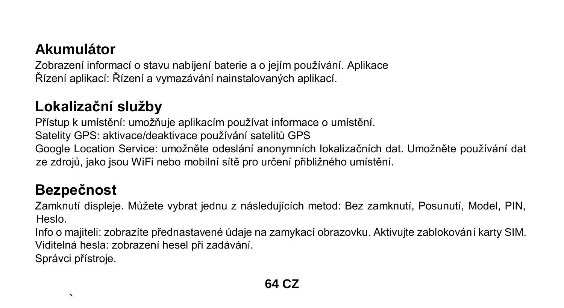#### **Akumulátor**

Zobrazení informací o stavu nabíjení baterie a o jejím používání. Aplikace Řízení aplikací: Řízení a vymazávání nainstalovaných aplikací.

#### **Lokalizační služby**

Přístup k umístění: umožňuje aplikacím používat informace o umístění. Satelity GPS: aktivace/deaktivace používání satelitů GPS Google Location Service: umožněte odeslání anonymních lokalizačních dat. Umožněte používání dat ze zdrojů, jako jsou WiFi nebo mobilní sítě pro určení přibližného umístění.

### **Bezpečnost**

 $\overline{\phantom{a}}$ 

Zamknutí displeje. Můžete vybrat jednu z následujících metod: Bez zamknutí, Posunutí, Model, PIN, Heslo.

Info o majiteli: zobrazíte přednastavené údaje na zamykací obrazovku. Aktivujte zablokování karty SIM. Viditelná hesla: zobrazení hesel při zadávání. Správci přístroje.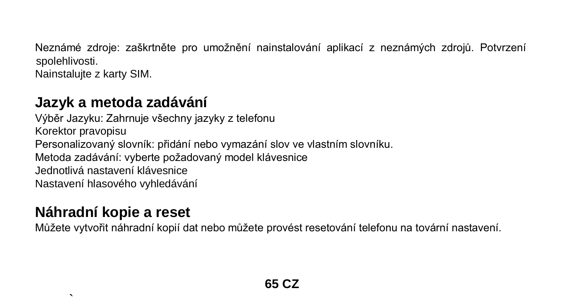Neznámé zdroje: zaškrtněte pro umožnění nainstalování aplikací z neznámých zdrojů. Potvrzení spolehlivosti. Nainstalujte z karty SIM.

### **Jazyk a metoda zadávání**

Výběr Jazyku: Zahrnuje všechny jazyky z telefonu Korektor pravopisu Personalizovaný slovník: přidání nebo vymazání slov ve vlastním slovníku. Metoda zadávání: vyberte požadovaný model klávesnice Jednotlivá nastavení klávesnice Nastavení hlasového vyhledávání

## **Náhradní kopie a reset**

Můžete vytvořit náhradní kopií dat nebo můžete provést resetování telefonu na tovární nastavení.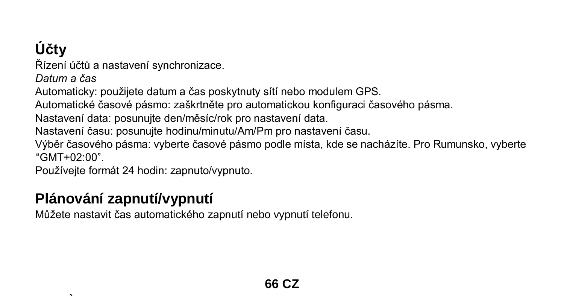# **Účty**

Řízení účtů a nastavení synchronizace.

*Datum a čas* 

Automaticky: použijete datum a čas poskytnuty sítí nebo modulem GPS.

Automatické časové pásmo: zaškrtněte pro automatickou konfiguraci časového pásma.

Nastavení data: posunujte den/měsíc/rok pro nastavení data.

Nastavení času: posunujte hodinu/minutu/Am/Pm pro nastavení času.

Výběr časového pásma: vyberte časové pásmo podle místa, kde se nacházíte. Pro Rumunsko, vyberte  $"GMT+02:00"$ 

Používejte formát 24 hodin: zapnuto/vypnuto.

## **Plánování zapnutí/vypnutí**

Můžete nastavit čas automatického zapnutí nebo vypnutí telefonu.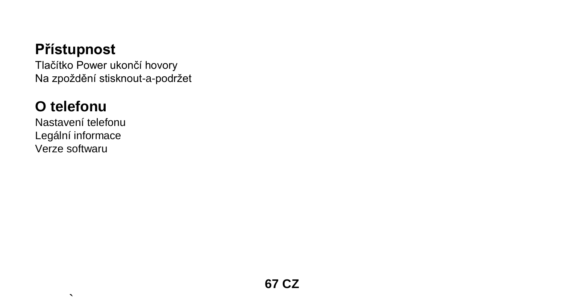#### **Přístupnost**

Tlačítko Power ukončí hovory Na zpoždění stisknout-a-podržet

## **O telefonu**

Nastavení telefonu Legální informace Verze softwaru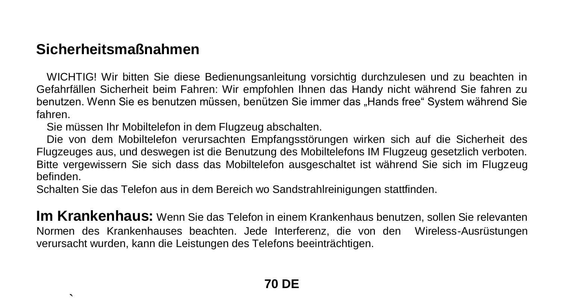#### **Sicherheitsmaßnahmen**

WICHTIG! Wir bitten Sie diese Bedienungsanleitung vorsichtig durchzulesen und zu beachten in Gefahrfällen Sicherheit beim Fahren: Wir empfohlen Ihnen das Handy nicht während Sie fahren zu benutzen. Wenn Sie es benutzen müssen, benützen Sie immer das "Hands free" System während Sie fahren.

Sie müssen Ihr Mobiltelefon in dem Flugzeug abschalten.

Die von dem Mobiltelefon verursachten Empfangsstörungen wirken sich auf die Sicherheit des Flugzeuges aus, und deswegen ist die Benutzung des Mobiltelefons IM Flugzeug gesetzlich verboten. Bitte vergewissern Sie sich dass das Mobiltelefon ausgeschaltet ist während Sie sich im Flugzeug befinden.

Schalten Sie das Telefon aus in dem Bereich wo Sandstrahlreinigungen stattfinden.

**Im Krankenhaus:** Wenn Sie das Telefon in einem Krankenhaus benutzen, sollen Sie relevanten Normen des Krankenhauses beachten. Jede Interferenz, die von den Wireless-Ausrüstungen verursacht wurden, kann die Leistungen des Telefons beeinträchtigen.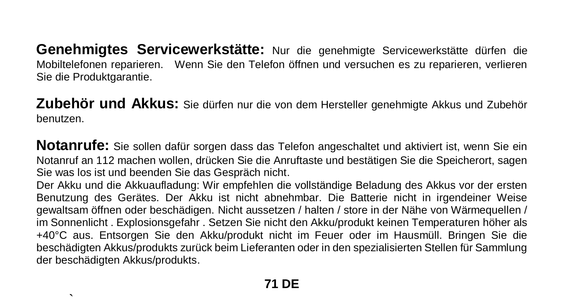**Genehmigtes Servicewerkstätte:** Nur die genehmigte Servicewerkstätte dürfen die Mobiltelefonen reparieren. Wenn Sie den Telefon öffnen und versuchen es zu reparieren, verlieren Sie die Produktgarantie

**Zubehör und Akkus:** Sie dürfen nur die von dem Hersteller genehmigte Akkus und Zubehör benutzen.

**Notanrufe:** Sie sollen dafür sorgen dass das Telefon angeschaltet und aktiviert ist, wenn Sie ein Notanruf an 112 machen wollen, drücken Sie die Anruftaste und bestätigen Sie die Speicherort, sagen Sie was los ist und beenden Sie das Gespräch nicht.

Der Akku und die Akkuaufladung: Wir empfehlen die vollständige Beladung des Akkus vor der ersten Benutzung des Gerätes. Der Akku ist nicht abnehmbar. Die Batterie nicht in irgendeiner Weise gewaltsam öffnen oder beschädigen. Nicht aussetzen / halten / store in der Nähe von Wärmequellen / im Sonnenlicht . Explosionsgefahr . Setzen Sie nicht den Akku/produkt keinen Temperaturen höher als +40°C aus. Entsorgen Sie den Akku/produkt nicht im Feuer oder im Hausmüll. Bringen Sie die beschädigten Akkus/produkts zurück beim Lieferanten oder in den spezialisierten Stellen für Sammlung der beschädigten Akkus/produkts.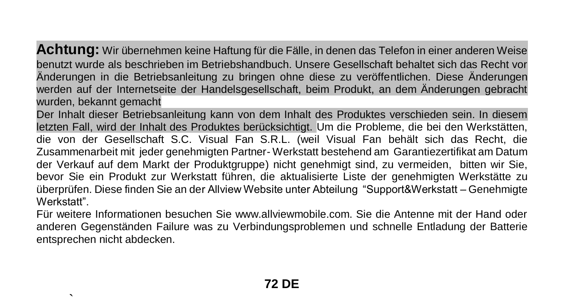**Achtung:** Wir übernehmen keine Haftung für die Fälle, in denen das Telefon in einer anderen Weise benutzt wurde als beschrieben im Betriebshandbuch. Unsere Gesellschaft behaltet sich das Recht vor Änderungen in die Betriebsanleitung zu bringen ohne diese zu veröffentlichen. Diese Änderungen werden auf der Internetseite der Handelsgesellschaft, beim Produkt, an dem Änderungen gebracht wurden, bekannt gemacht

Der Inhalt dieser Betriebsanleitung kann von dem Inhalt des Produktes verschieden sein. In diesem letzten Fall, wird der Inhalt des Produktes berücksichtigt. Um die Probleme, die bei den Werkstätten, die von der Gesellschaft S.C. Visual Fan S.R.L. (weil Visual Fan behält sich das Recht, die Zusammenarbeit mit jeder genehmigten Partner- Werkstatt bestehend am Garantiezertifikat am Datum der Verkauf auf dem Markt der Produktgruppe) nicht genehmigt sind, zu vermeiden, bitten wir Sie, bevor Sie ein Produkt zur Werkstatt führen, die aktualisierte Liste der genehmigten Werkstätte zu überprüfen. Diese finden Sie an der Allview Website unter Abteilung "Support&Werkstatt – Genehmigte Werkstatt".

Für weitere Informationen besuchen Sie www.allviewmobile.com. Sie die Antenne mit der Hand oder anderen Gegenständen Failure was zu Verbindungsproblemen und schnelle Entladung der Batterie entsprechen nicht abdecken.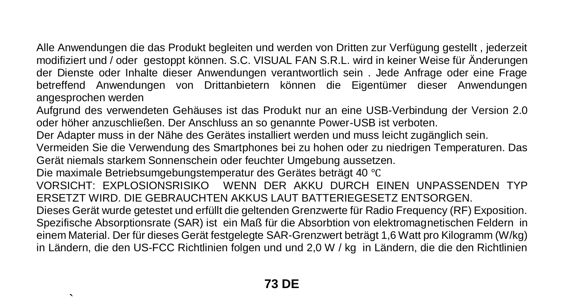Alle Anwendungen die das Produkt begleiten und werden von Dritten zur Verfügung gestellt , jederzeit modifiziert und / oder gestoppt können. S.C. VISUAL FAN S.R.L. wird in keiner Weise für Änderungen der Dienste oder Inhalte dieser Anwendungen verantwortlich sein . Jede Anfrage oder eine Frage betreffend Anwendungen von Drittanbietern können die Eigentümer dieser Anwendungen angesprochen werden

Aufgrund des verwendeten Gehäuses ist das Produkt nur an eine USB-Verbindung der Version 2.0 oder höher anzuschließen. Der Anschluss an so genannte Power-USB ist verboten.

Der Adapter muss in der Nähe des Gerätes installiert werden und muss leicht zugänglich sein.

Vermeiden Sie die Verwendung des Smartphones bei zu hohen oder zu niedrigen Temperaturen. Das Gerät niemals starkem Sonnenschein oder feuchter Umgebung aussetzen.

Die maximale Betriebsumgebungstemperatur des Gerätes beträgt 40 ℃

VORSICHT: EXPLOSIONSRISIKO WENN DER AKKU DURCH EINEN UNPASSENDEN TYP ERSETZT WIRD. DIE GEBRAUCHTEN AKKUS LAUT BATTERIEGESETZ ENTSORGEN.

Dieses Gerät wurde getestet und erfüllt die geltenden Grenzwerte für Radio Frequency (RF) Exposition. Spezifische Absorptionsrate (SAR) ist ein Maß für die Absorbtion von elektromagnetischen Feldern in einem Material. Der für dieses Gerät festgelegte SAR-Grenzwert beträgt 1,6 Watt pro Kilogramm (W/kg) in Ländern, die den US-FCC Richtlinien folgen und und 2,0 W / kg in Ländern, die die den Richtlinien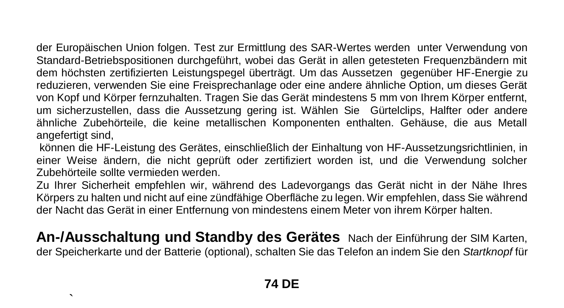der Europäischen Union folgen. Test zur Ermittlung des SAR-Wertes werden unter Verwendung von Standard-Betriebspositionen durchgeführt, wobei das Gerät in allen getesteten Frequenzbändern mit dem höchsten zertifizierten Leistungspegel überträgt. Um das Aussetzen gegenüber HF-Energie zu reduzieren, verwenden Sie eine Freisprechanlage oder eine andere ähnliche Option, um dieses Gerät von Kopf und Körper fernzuhalten. Tragen Sie das Gerät mindestens 5 mm von Ihrem Körper entfernt, um sicherzustellen, dass die Aussetzung gering ist. Wählen Sie Gürtelclips, Halfter oder andere ähnliche Zubehörteile, die keine metallischen Komponenten enthalten. Gehäuse, die aus Metall angefertigt sind,

können die HF-Leistung des Gerätes, einschließlich der Einhaltung von HF-Aussetzungsrichtlinien, in einer Weise ändern, die nicht geprüft oder zertifiziert worden ist, und die Verwendung solcher Zubehörteile sollte vermieden werden.

Zu Ihrer Sicherheit empfehlen wir, während des Ladevorgangs das Gerät nicht in der Nähe Ihres Körpers zu halten und nicht auf eine zündfähige Oberfläche zu legen. Wir empfehlen, dass Sie während der Nacht das Gerät in einer Entfernung von mindestens einem Meter von ihrem Körper halten.

**An-/Ausschaltung und Standby des Gerätes** Nach der Einführung der SIM Karten, der Speicherkarte und der Batterie (optional), schalten Sie das Telefon an indem Sie den *Startknopf* für

 $\overline{\phantom{a}}$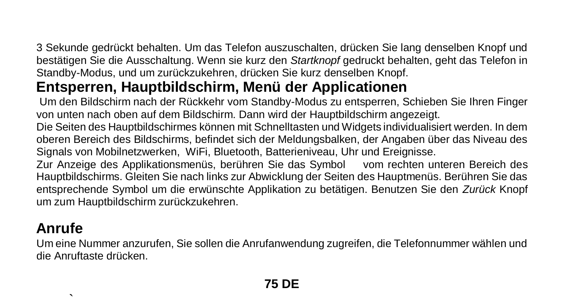3 Sekunde gedrückt behalten. Um das Telefon auszuschalten, drücken Sie lang denselben Knopf und bestätigen Sie die Ausschaltung. Wenn sie kurz den *Startknopf* gedruckt behalten, geht das Telefon in Standby-Modus, und um zurückzukehren, drücken Sie kurz denselben Knopf.

### **Entsperren, Hauptbildschirm, Menü der Applicationen**

Um den Bildschirm nach der Rückkehr vom Standby-Modus zu entsperren, Schieben Sie Ihren Finger von unten nach oben auf dem Bildschirm. Dann wird der Hauptbildschirm angezeigt.

Die Seiten des Hauptbildschirmes können mit Schnelltasten und Widgets individualisiert werden. In dem oberen Bereich des Bildschirms, befindet sich der Meldungsbalken, der Angaben über das Niveau des Signals von Mobilnetzwerken, WiFi, Bluetooth, Batterieniveau, Uhr und Ereignisse.

Zur Anzeige des Applikationsmenüs, berühren Sie das Symbolvom rechten unteren Bereich des Hauptbildschirms. Gleiten Sie nach links zur Abwicklung der Seiten des Hauptmenüs. Berühren Sie das entsprechende Symbol um die erwünschte Applikation zu betätigen. Benutzen Sie den *Zurück* Knopf um zum Hauptbildschirm zurückzukehren.

#### **Anrufe**

Um eine Nummer anzurufen, Sie sollen die Anrufanwendung zugreifen, die Telefonnummer wählen und die Anruftaste drücken.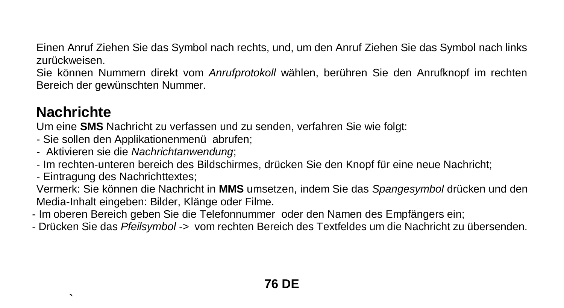Einen Anruf Ziehen Sie das Symbol nach rechts, und, um den Anruf Ziehen Sie das Symbol nach links zurückweisen.

Sie können Nummern direkt vom *Anrufprotokoll* wählen, berühren Sie den Anrufknopf im rechten Bereich der gewünschten Nummer.

#### **Nachrichte**

Um eine **SMS** Nachricht zu verfassen und zu senden, verfahren Sie wie folgt:

- Sie sollen den Applikationenmenü abrufen;
- Aktivieren sie die *Nachrichtanwendung*;
- Im rechten-unteren bereich des Bildschirmes, drücken Sie den Knopf für eine neue Nachricht;
- Eintragung des Nachrichttextes;

Vermerk: Sie können die Nachricht in **MMS** umsetzen, indem Sie das *Spangesymbol* drücken und den Media-Inhalt eingeben: Bilder, Klänge oder Filme.

- Im oberen Bereich geben Sie die Telefonnummer oder den Namen des Empfängers ein;
- Drücken Sie das *Pfeilsymbol ->* vom rechten Bereich des Textfeldes um die Nachricht zu übersenden.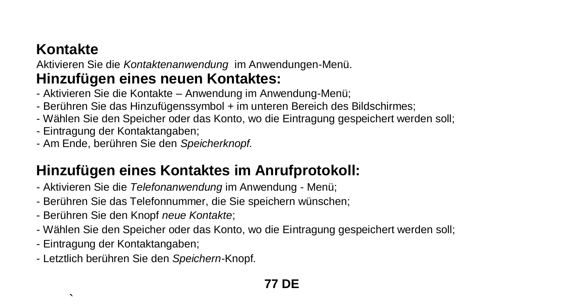### **Kontakte**

Aktivieren Sie die *Kontaktenanwendung* im Anwendungen-Menü.

#### **Hinzufügen eines neuen Kontaktes:**

- Aktivieren Sie die Kontakte Anwendung im Anwendung-Menü;
- Berühren Sie das Hinzufügenssymbol + im unteren Bereich des Bildschirmes;
- Wählen Sie den Speicher oder das Konto, wo die Eintragung gespeichert werden soll;
- Eintragung der Kontaktangaben;
- Am Ende, berühren Sie den *Speicherknopf.*

## **Hinzufügen eines Kontaktes im Anrufprotokoll:**

- Aktivieren Sie die *Telefonanwendung* im Anwendung Menü;
- Berühren Sie das Telefonnummer, die Sie speichern wünschen;
- Berühren Sie den Knopf *neue Kontakte*;
- Wählen Sie den Speicher oder das Konto, wo die Eintragung gespeichert werden soll;
- Eintragung der Kontaktangaben;
- Letztlich berühren Sie den *Speichern-*Knopf*.*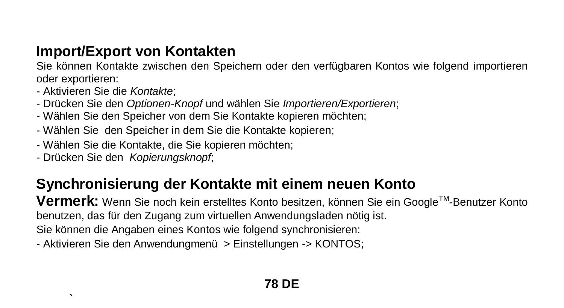#### **Import/Export von Kontakten**

Sie können Kontakte zwischen den Speichern oder den verfügbaren Kontos wie folgend importieren oder exportieren:

- Aktivieren Sie die *Kontakte*;
- Drücken Sie den *Optionen-Knopf* und wählen Sie *Importieren/Exportieren*;
- Wählen Sie den Speicher von dem Sie Kontakte kopieren möchten;
- Wählen Sie den Speicher in dem Sie die Kontakte kopieren;
- Wählen Sie die Kontakte, die Sie kopieren möchten;
- Drücken Sie den *Kopierungsknopf*;

#### **Synchronisierung der Kontakte mit einem neuen Konto**

Vermerk: Wenn Sie noch kein erstelltes Konto besitzen, können Sie ein Google™-Benutzer Konto benutzen, das für den Zugang zum virtuellen Anwendungsladen nötig ist. Sie können die Angaben eines Kontos wie folgend synchronisieren:

- Aktivieren Sie den Anwendungmenü > Einstellungen -> KONTOS;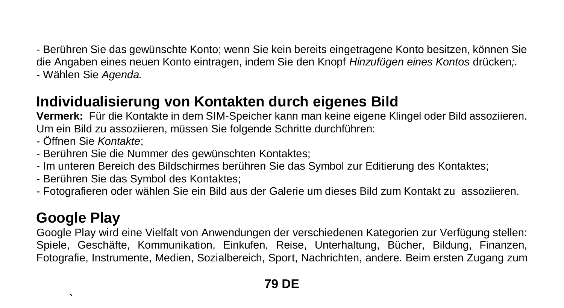- Berühren Sie das gewünschte Konto; wenn Sie kein bereits eingetragene Konto besitzen, können Sie die Angaben eines neuen Konto eintragen, indem Sie den Knopf *Hinzufügen eines Kontos* drücken*;.* - Wählen Sie *Agenda.*

#### **Individualisierung von Kontakten durch eigenes Bild**

**Vermerk:** Für die Kontakte in dem SIM-Speicher kann man keine eigene Klingel oder Bild assoziieren. Um ein Bild zu assoziieren, müssen Sie folgende Schritte durchführen:

- Öffnen Sie *Kontakte*;
- Berühren Sie die Nummer des gewünschten Kontaktes;
- Im unteren Bereich des Bildschirmes berühren Sie das Symbol zur Editierung des Kontaktes;
- Berühren Sie das Symbol des Kontaktes;
- Fotografieren oder wählen Sie ein Bild aus der Galerie um dieses Bild zum Kontakt zu assoziieren.

## **Google Play**

Google Play wird eine Vielfalt von Anwendungen der verschiedenen Kategorien zur Verfügung stellen: Spiele, Geschäfte, Kommunikation, Einkufen, Reise, Unterhaltung, Bücher, Bildung, Finanzen, Fotografie, Instrumente, Medien, Sozialbereich, Sport, Nachrichten, andere. Beim ersten Zugang zum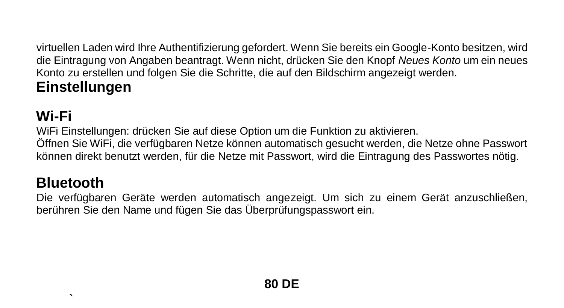virtuellen Laden wird Ihre Authentifizierung gefordert. Wenn Sie bereits ein Google-Konto besitzen, wird die Eintragung von Angaben beantragt. Wenn nicht, drücken Sie den Knopf *Neues Konto* um ein neues Konto zu erstellen und folgen Sie die Schritte, die auf den Bildschirm angezeigt werden. **Einstellungen**

#### **Wi-Fi**

WiFi Einstellungen: drücken Sie auf diese Option um die Funktion zu aktivieren. Öffnen Sie WiFi, die verfügbaren Netze können automatisch gesucht werden, die Netze ohne Passwort können direkt benutzt werden, für die Netze mit Passwort, wird die Eintragung des Passwortes nötig.

#### **Bluetooth**

Die verfügbaren Geräte werden automatisch angezeigt. Um sich zu einem Gerät anzuschließen, berühren Sie den Name und fügen Sie das Überprüfungspasswort ein.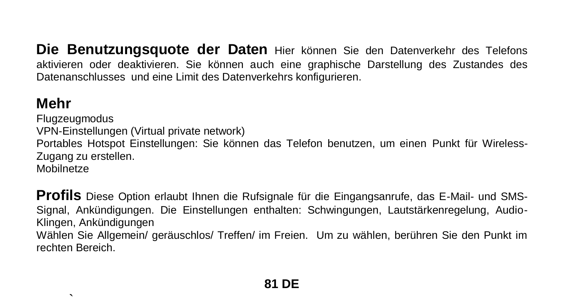**Die Benutzungsquote der Daten** Hier können Sie den Datenverkehr des Telefons aktivieren oder deaktivieren. Sie können auch eine graphische Darstellung des Zustandes des Datenanschlusses und eine Limit des Datenverkehrs konfigurieren.

#### **Mehr**

Flugzeugmodus VPN-Einstellungen (Virtual private network) Portables Hotspot Einstellungen: Sie können das Telefon benutzen, um einen Punkt für Wireless-Zugang zu erstellen. Mobilnetze

**Profils** Diese Option erlaubt Ihnen die Rufsignale für die Eingangsanrufe, das E-Mail- und SMS-Signal, Ankündigungen. Die Einstellungen enthalten: Schwingungen, Lautstärkenregelung, Audio-Klingen, Ankündigungen Wählen Sie Allgemein/ geräuschlos/ Treffen/ im Freien. Um zu wählen, berühren Sie den Punkt im rechten Bereich.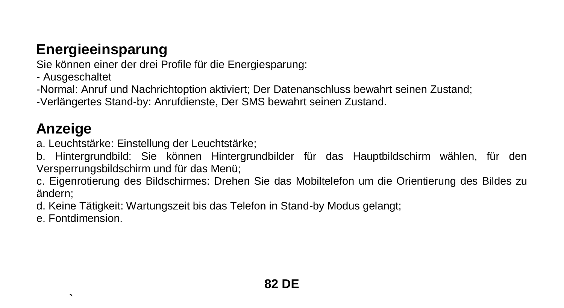#### **Energieeinsparung**

Sie können einer der drei Profile für die Energiesparung:

- Ausgeschaltet

-Normal: Anruf und Nachrichtoption aktiviert; Der Datenanschluss bewahrt seinen Zustand; -Verlängertes Stand-by: Anrufdienste, Der SMS bewahrt seinen Zustand.

### **Anzeige**

a. Leuchtstärke: Einstellung der Leuchtstärke;

b. Hintergrundbild: Sie können Hintergrundbilder für das Hauptbildschirm wählen, für den Versperrungsbildschirm und für das Menü;

c. Eigenrotierung des Bildschirmes: Drehen Sie das Mobiltelefon um die Orientierung des Bildes zu ändern;

d. Keine Tätigkeit: Wartungszeit bis das Telefon in Stand-by Modus gelangt;

e. Fontdimension.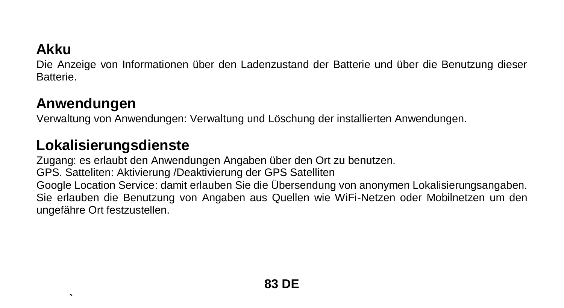#### **Akku**

Die Anzeige von Informationen über den Ladenzustand der Batterie und über die Benutzung dieser **Batterie** 

#### **Anwendungen**

Verwaltung von Anwendungen: Verwaltung und Löschung der installierten Anwendungen.

#### **Lokalisierungsdienste**

Zugang: es erlaubt den Anwendungen Angaben über den Ort zu benutzen. GPS. Satteliten: Aktivierung /Deaktivierung der GPS Satelliten Google Location Service: damit erlauben Sie die Übersendung von anonymen Lokalisierungsangaben. Sie erlauben die Benutzung von Angaben aus Quellen wie WiFi-Netzen oder Mobilnetzen um den ungefähre Ort festzustellen.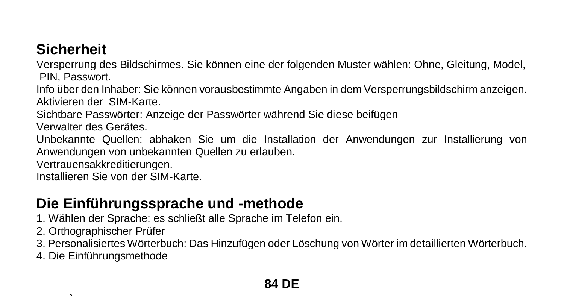### **Sicherheit**

Versperrung des Bildschirmes. Sie können eine der folgenden Muster wählen: Ohne, Gleitung, Model, PIN, Passwort.

Info über den Inhaber: Sie können vorausbestimmte Angaben in dem Versperrungsbildschirm anzeigen. Aktivieren der SIM-Karte.

Sichtbare Passwörter: Anzeige der Passwörter während Sie diese beifügen

Verwalter des Gerätes.

Unbekannte Quellen: abhaken Sie um die Installation der Anwendungen zur Installierung von Anwendungen von unbekannten Quellen zu erlauben.

Vertrauensakkreditierungen.

Installieren Sie von der SIM-Karte.

#### **Die Einführungssprache und -methode**

- 1. Wählen der Sprache: es schließt alle Sprache im Telefon ein.
- 2. Orthographischer Prüfer
- 3. Personalisiertes Wörterbuch: Das Hinzufügen oder Löschung von Wörter im detaillierten Wörterbuch.
- 4. Die Einführungsmethode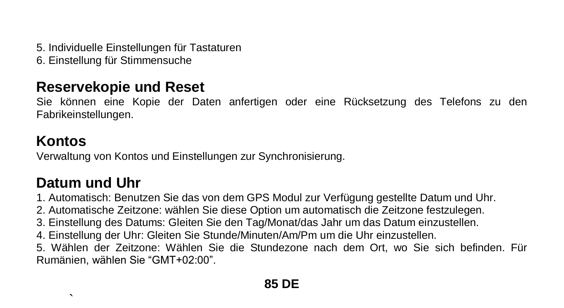5. Individuelle Einstellungen für Tastaturen 6. Einstellung für Stimmensuche

#### **Reservekopie und Reset**

Sie können eine Kopie der Daten anfertigen oder eine Rücksetzung des Telefons zu den Fabrikeinstellungen.

#### **Kontos**

 $\mathbb{R}^2$ 

Verwaltung von Kontos und Einstellungen zur Synchronisierung.

### **Datum und Uhr**

1. Automatisch: Benutzen Sie das von dem GPS Modul zur Verfügung gestellte Datum und Uhr.

2. Automatische Zeitzone: wählen Sie diese Option um automatisch die Zeitzone festzulegen.

3. Einstellung des Datums: Gleiten Sie den Tag/Monat/das Jahr um das Datum einzustellen.

4. Einstellung der Uhr: Gleiten Sie Stunde/Minuten/Am/Pm um die Uhr einzustellen.

5. Wählen der Zeitzone: Wählen Sie die Stundezone nach dem Ort, wo Sie sich befinden. Für Rumänien, wählen Sie "GMT+02:00".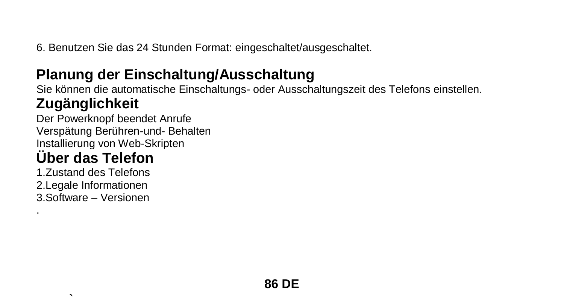6. Benutzen Sie das 24 Stunden Format: eingeschaltet/ausgeschaltet.

#### **Planung der Einschaltung/Ausschaltung**

Sie können die automatische Einschaltungs- oder Ausschaltungszeit des Telefons einstellen. **Zugänglichkeit** 

Der Powerknopf beendet Anrufe Verspätung Berühren-und- Behalten Installierung von Web-Skripten **Über das Telefon**

1.Zustand des Telefons 2.Legale Informationen 3.Software – Versionen

.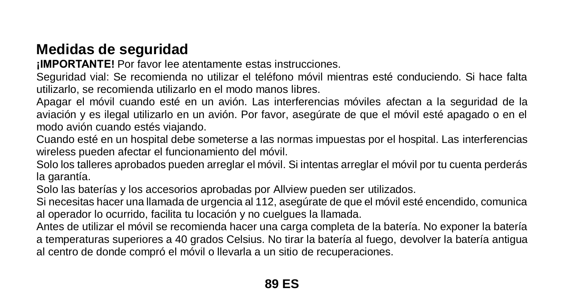### **Medidas de seguridad**

**¡IMPORTANTE!** Por favor lee atentamente estas instrucciones.

Seguridad vial: Se recomienda no utilizar el teléfono móvil mientras esté conduciendo. Si hace falta utilizarlo, se recomienda utilizarlo en el modo manos libres.

Apagar el móvil cuando esté en un avión. Las interferencias móviles afectan a la seguridad de la aviación y es ilegal utilizarlo en un avión. Por favor, asegúrate de que el móvil esté apagado o en el modo avión cuando estés viajando.

Cuando esté en un hospital debe someterse a las normas impuestas por el hospital. Las interferencias wireless pueden afectar el funcionamiento del móvil.

Solo los talleres aprobados pueden arreglar el móvil. Si intentas arreglar el móvil por tu cuenta perderás la garantía.

Solo las baterías y los accesorios aprobadas por Allview pueden ser utilizados.

Si necesitas hacer una llamada de urgencia al 112, asegúrate de que el móvil esté encendido, comunica al operador lo ocurrido, facilita tu locación y no cuelgues la llamada.

Antes de utilizar el móvil se recomienda hacer una carga completa de la batería. No exponer la batería a temperaturas superiores a 40 grados Celsius. No tirar la batería al fuego, devolver la batería antigua al centro de donde compró el móvil o llevarla a un sitio de recuperaciones.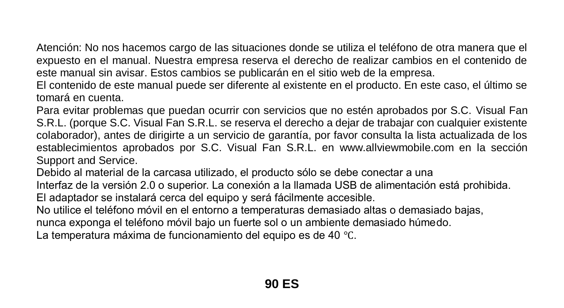Atención: No nos hacemos cargo de las situaciones donde se utiliza el teléfono de otra manera que el expuesto en el manual. Nuestra empresa reserva el derecho de realizar cambios en el contenido de este manual sin avisar. Estos cambios se publicarán en el sitio web de la empresa.

El contenido de este manual puede ser diferente al existente en el producto. En este caso, el último se tomará en cuenta.

Para evitar problemas que puedan ocurrir con servicios que no estén aprobados por S.C. Visual Fan S.R.L. (porque S.C. Visual Fan S.R.L. se reserva el derecho a dejar de trabajar con cualquier existente colaborador), antes de dirigirte a un servicio de garantía, por favor consulta la lista actualizada de los establecimientos aprobados por S.C. Visual Fan S.R.L. en www.allviewmobile.com en la sección Support and Service.

Debido al material de la carcasa utilizado, el producto sólo se debe conectar a una

Interfaz de la versión 2.0 o superior. La conexión a la llamada USB de alimentación está prohibida.

El adaptador se instalará cerca del equipo y será fácilmente accesible.

No utilice el teléfono móvil en el entorno a temperaturas demasiado altas o demasiado bajas,

nunca exponga el teléfono móvil bajo un fuerte sol o un ambiente demasiado húmedo.

La temperatura máxima de funcionamiento del equipo es de 40 ℃.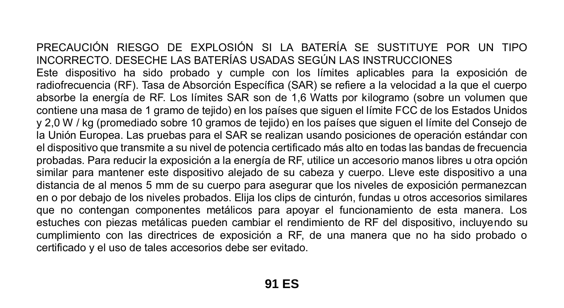#### PRECAUCIÓN RIESGO DE EXPLOSIÓN SI LA BATERÍA SE SUSTITUYE POR UN TIPO INCORRECTO. DESECHE LAS BATERÍAS USADAS SEGÚN LAS INSTRUCCIONES Este dispositivo ha sido probado y cumple con los límites aplicables para la exposición de

radiofrecuencia (RF). Tasa de Absorción Específica (SAR) se refiere a la velocidad a la que el cuerpo absorbe la energía de RF. Los límites SAR son de 1,6 Watts por kilogramo (sobre un volumen que contiene una masa de 1 gramo de tejido) en los países que siguen el límite FCC de los Estados Unidos y 2,0 W / kg (promediado sobre 10 gramos de tejido) en los países que siguen el límite del Consejo de la Unión Europea. Las pruebas para el SAR se realizan usando posiciones de operación estándar con el dispositivo que transmite a su nivel de potencia certificado más alto en todas las bandas de frecuencia probadas. Para reducir la exposición a la energía de RF, utilice un accesorio manos libres u otra opción similar para mantener este dispositivo alejado de su cabeza y cuerpo. Lleve este dispositivo a una distancia de al menos 5 mm de su cuerpo para asegurar que los niveles de exposición permanezcan en o por debajo de los niveles probados. Elija los clips de cinturón, fundas u otros accesorios similares que no contengan componentes metálicos para apoyar el funcionamiento de esta manera. Los estuches con piezas metálicas pueden cambiar el rendimiento de RF del dispositivo, incluyendo su cumplimiento con las directrices de exposición a RF, de una manera que no ha sido probado o certificado y el uso de tales accesorios debe ser evitado.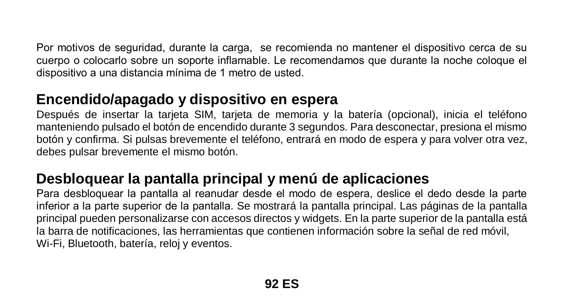Por motivos de seguridad, durante la carga, se recomienda no mantener el dispositivo cerca de su cuerpo o colocarlo sobre un soporte inflamable. Le recomendamos que durante la noche coloque el dispositivo a una distancia mínima de 1 metro de usted.

#### **Encendido/apagado y dispositivo en espera**

Después de insertar la tarieta SIM, tarieta de memoria y la batería (opcional), inicia el teléfono manteniendo pulsado el botón de encendido durante 3 segundos. Para desconectar, presiona el mismo botón y confirma. Si pulsas brevemente el teléfono, entrará en modo de espera y para volver otra vez, debes pulsar brevemente el mismo botón.

#### **Desbloquear la pantalla principal y menú de aplicaciones**

Para desbloquear la pantalla al reanudar desde el modo de espera, deslice el dedo desde la parte inferior a la parte superior de la pantalla. Se mostrará la pantalla principal. Las páginas de la pantalla principal pueden personalizarse con accesos directos y widgets. En la parte superior de la pantalla está la barra de notificaciones, las herramientas que contienen información sobre la señal de red móvil, Wi-Fi, Bluetooth, batería, reloj y eventos.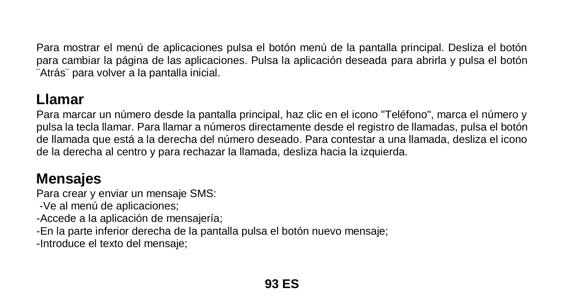Para mostrar el menú de aplicaciones pulsa el botón menú de la pantalla principal. Desliza el botón para cambiar la página de las aplicaciones. Pulsa la aplicación deseada para abrirla y pulsa el botón ¨Atrás¨ para volver a la pantalla inicial.

#### **Llamar**

Para marcar un número desde la pantalla principal, haz clic en el icono "Teléfono", marca el número y pulsa la tecla llamar. Para llamar a números directamente desde el registro de llamadas, pulsa el botón de llamada que está a la derecha del número deseado. Para contestar a una llamada, desliza el icono de la derecha al centro y para rechazar la llamada, desliza hacia la izquierda.

#### **Mensajes**

Para crear y enviar un mensaje SMS:

-Ve al menú de aplicaciones;

-Accede a la aplicación de mensajería;

-En la parte inferior derecha de la pantalla pulsa el botón nuevo mensaje;

-Introduce el texto del mensaje;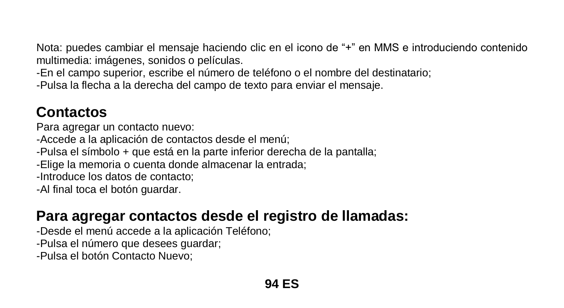Nota: puedes cambiar el mensaje haciendo clic en el icono de "+" en MMS e introduciendo contenido multimedia: imágenes, sonidos o películas.

-En el campo superior, escribe el número de teléfono o el nombre del destinatario;

-Pulsa la flecha a la derecha del campo de texto para enviar el mensaje.

### **Contactos**

Para agregar un contacto nuevo:

-Accede a la aplicación de contactos desde el menú;

-Pulsa el símbolo + que está en la parte inferior derecha de la pantalla;

-Elige la memoria o cuenta donde almacenar la entrada;

-Introduce los datos de contacto;

-Al final toca el botón guardar.

### **Para agregar contactos desde el registro de llamadas:**

-Desde el menú accede a la aplicación Teléfono;

-Pulsa el número que desees guardar;

-Pulsa el botón Contacto Nuevo;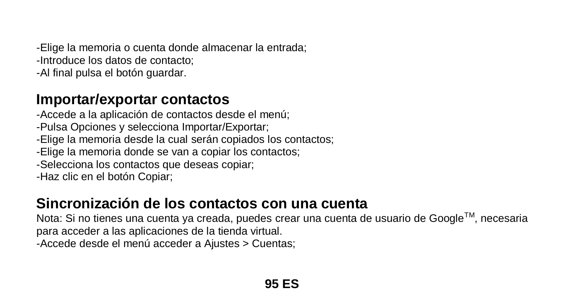-Elige la memoria o cuenta donde almacenar la entrada; -Introduce los datos de contacto; -Al final pulsa el botón guardar.

#### **Importar/exportar contactos**

-Accede a la aplicación de contactos desde el menú;

-Pulsa Opciones y selecciona Importar/Exportar;

-Elige la memoria desde la cual serán copiados los contactos;

-Elige la memoria donde se van a copiar los contactos;

-Selecciona los contactos que deseas copiar;

-Haz clic en el botón Copiar;

#### **Sincronización de los contactos con una cuenta**

Nota: Si no tienes una cuenta ya creada, puedes crear una cuenta de usuario de Google™, necesaria para acceder a las aplicaciones de la tienda virtual.

-Accede desde el menú acceder a Ajustes > Cuentas;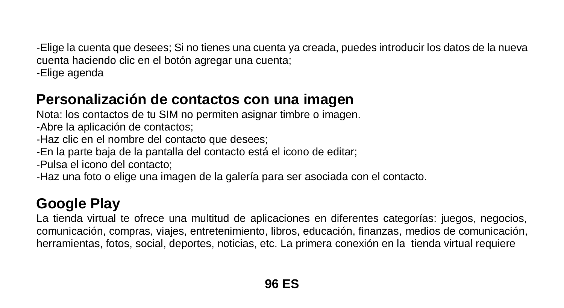-Elige la cuenta que desees; Si no tienes una cuenta ya creada, puedes introducir los datos de la nueva cuenta haciendo clic en el botón agregar una cuenta;

-Elige agenda

#### **Personalización de contactos con una imagen**

Nota: los contactos de tu SIM no permiten asignar timbre o imagen. -Abre la aplicación de contactos;

-Haz clic en el nombre del contacto que desees;

-En la parte baja de la pantalla del contacto está el icono de editar;

-Pulsa el icono del contacto;

-Haz una foto o elige una imagen de la galería para ser asociada con el contacto.

#### **Google Play**

La tienda virtual te ofrece una multitud de aplicaciones en diferentes categorías: juegos, negocios, comunicación, compras, viajes, entretenimiento, libros, educación, finanzas, medios de comunicación, herramientas, fotos, social, deportes, noticias, etc. La primera conexión en la tienda virtual requiere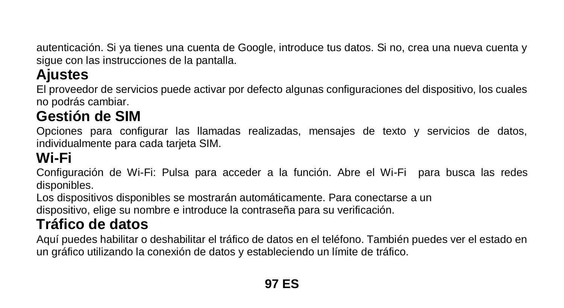autenticación. Si ya tienes una cuenta de Google, introduce tus datos. Si no, crea una nueva cuenta y sigue con las instrucciones de la pantalla.

### **Ajustes**

El proveedor de servicios puede activar por defecto algunas configuraciones del dispositivo, los cuales no podrás cambiar.

### **Gestión de SIM**

Opciones para configurar las llamadas realizadas, mensajes de texto y servicios de datos, individualmente para cada tarjeta SIM.

#### **Wi-Fi**

Configuración de Wi-Fi: Pulsa para acceder a la función. Abre el Wi-Fi para busca las redes disponibles.

Los dispositivos disponibles se mostrarán automáticamente. Para conectarse a un

dispositivo, elige su nombre e introduce la contraseña para su verificación.

### **Tráfico de datos**

Aquí puedes habilitar o deshabilitar el tráfico de datos en el teléfono. También puedes ver el estado en un gráfico utilizando la conexión de datos y estableciendo un límite de tráfico.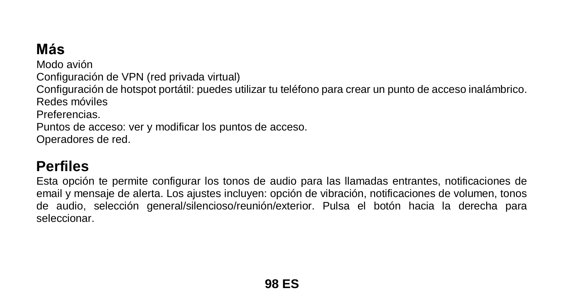### **Más**

Modo avión Configuración de VPN (red privada virtual) Configuración de hotspot portátil: puedes utilizar tu teléfono para crear un punto de acceso inalámbrico. Redes móviles Preferencias. Puntos de acceso: ver y modificar los puntos de acceso.

Operadores de red.

#### **Perfiles**

Esta opción te permite configurar los tonos de audio para las llamadas entrantes, notificaciones de email y mensaje de alerta. Los ajustes incluyen: opción de vibración, notificaciones de volumen, tonos de audio, selección general/silencioso/reunión/exterior. Pulsa el botón hacia la derecha para seleccionar.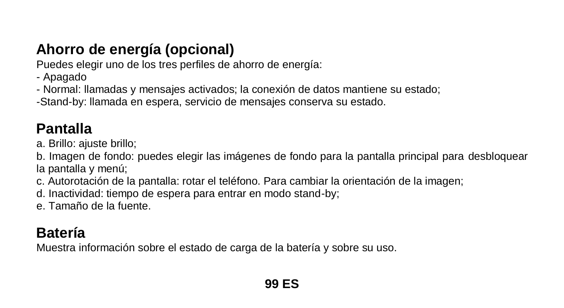### **Ahorro de energía (opcional)**

Puedes elegir uno de los tres perfiles de ahorro de energía:

- Apagado

- Normal: llamadas y mensajes activados; la conexión de datos mantiene su estado;

-Stand-by: llamada en espera, servicio de mensajes conserva su estado.

### **Pantalla**

a. Brillo: aiuste brillo:

b. Imagen de fondo: puedes elegir las imágenes de fondo para la pantalla principal para desbloquear la pantalla y menú;

c. Autorotación de la pantalla: rotar el teléfono. Para cambiar la orientación de la imagen;

d. Inactividad: tiempo de espera para entrar en modo stand-by;

e. Tamaño de la fuente.

#### **Batería**

Muestra información sobre el estado de carga de la batería y sobre su uso.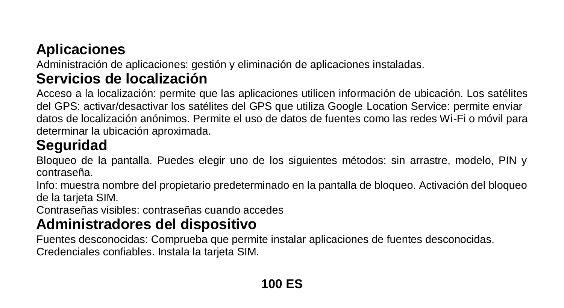### **Aplicaciones**

Administración de aplicaciones: gestión y eliminación de aplicaciones instaladas.

#### **Servicios de localización**

Acceso a la localización: permite que las aplicaciones utilicen información de ubicación. Los satélites datos de localización anónimos. Permite el uso de datos de fuentes como las redes Wi-Fi o móvil para determinar la ubicación aproximada. del GPS: activar/desactivar los satélites del GPS que utiliza Google Location Service: permite enviar

### **Seguridad**

Bloqueo de la pantalla. Puedes elegir uno de los siguientes métodos: sin arrastre, modelo, PIN y contraseña.

Info: muestra nombre del propietario predeterminado en la pantalla de bloqueo. Activación del bloqueo de la tarjeta SIM.

Contraseñas visibles: contraseñas cuando accedes

### **Administradores del dispositivo**

Fuentes desconocidas: Comprueba que permite instalar aplicaciones de fuentes desconocidas. Credenciales confiables. Instala la tarjeta SIM.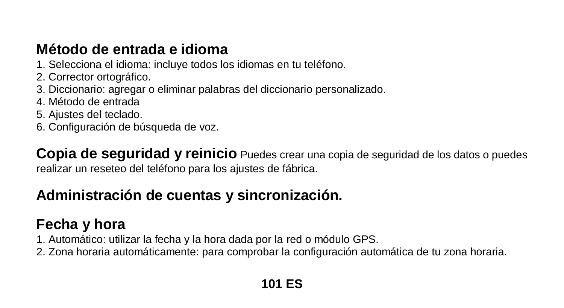#### **Método de entrada e idioma**

- 1. Selecciona el idioma: incluye todos los idiomas en tu teléfono.
- 2. Corrector ortográfico.
- 3. Diccionario: agregar o eliminar palabras del diccionario personalizado.
- 4. Método de entrada
- 5. Ajustes del teclado.
- 6. Configuración de búsqueda de voz.

**Copia de seguridad y reinicio** Puedes crear una copia de seguridad de los datos o puedes realizar un reseteo del teléfono para los ajustes de fábrica.

#### **Administración de cuentas y sincronización.**

### **Fecha y hora**

1. Automático: utilizar la fecha y la hora dada por la red o módulo GPS.

2. Zona horaria automáticamente: para comprobar la configuración automática de tu zona horaria.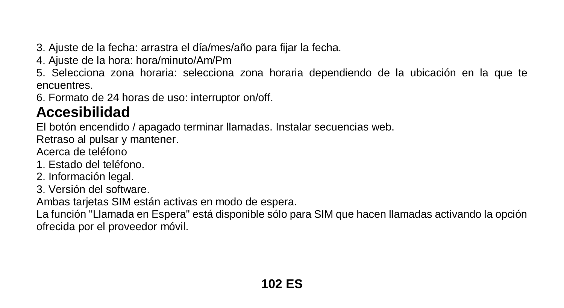3. Ajuste de la fecha: arrastra el día/mes/año para fijar la fecha.

4. Ajuste de la hora: hora/minuto/Am/Pm

5. Selecciona zona horaria: selecciona zona horaria dependiendo de la ubicación en la que te encuentres.

6. Formato de 24 horas de uso: interruptor on/off.

#### **Accesibilidad**

El botón encendido / apagado terminar llamadas. Instalar secuencias web.

Retraso al pulsar y mantener.

Acerca de teléfono

- 1. Estado del teléfono.
- 2. Información legal.
- 3. Versión del software.

Ambas tarjetas SIM están activas en modo de espera.

La función "Llamada en Espera" está disponible sólo para SIM que hacen llamadas activando la opción ofrecida por el proveedor móvil.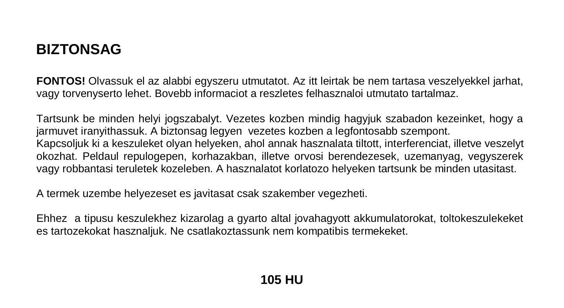#### **BIZTONSAG**

**FONTOS!** Olvassuk el az alabbi egyszeru utmutatot. Az itt leirtak be nem tartasa veszelyekkel jarhat, vagy torvenyserto lehet. Bovebb informaciot a reszletes felhasznaloi utmutato tartalmaz.

Tartsunk be minden helyi jogszabalyt. Vezetes kozben mindig hagyjuk szabadon kezeinket, hogy a jarmuvet iranyithassuk. A biztonsag legyen vezetes kozben a legfontosabb szempont. Kapcsoljuk ki a keszuleket olyan helyeken, ahol annak hasznalata tiltott, interferenciat, illetve veszelyt okozhat. Peldaul repulogepen, korhazakban, illetve orvosi berendezesek, uzemanyag, vegyszerek vagy robbantasi teruletek kozeleben. A hasznalatot korlatozo helyeken tartsunk be minden utasitast.

A termek uzembe helyezeset es javitasat csak szakember vegezheti.

Ehhez a tipusu keszulekhez kizarolag a gyarto altal jovahagyott akkumulatorokat, toltokeszulekeket es tartozekokat hasznaljuk. Ne csatlakoztassunk nem kompatibis termekeket.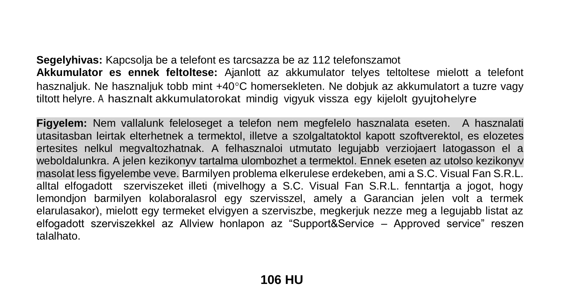#### **Segelyhivas:** Kapcsolja be a telefont es tarcsazza be az 112 telefonszamot **Akkumulator es ennek feltoltese:** Ajanlott az akkumulator telyes teltoltese mielott a telefont hasznaljuk. Ne hasznaljuk tobb mint +40°C homersekleten. Ne dobjuk az akkumulatort a tuzre vagy tiltott helyre. A hasznalt akkumulatorokat mindig vigyuk vissza egy kijelolt gyujtohelyre

**Figyelem:** Nem vallalunk feleloseget a telefon nem megfelelo hasznalata eseten. A hasznalati utasitasban leirtak elterhetnek a termektol, illetve a szolgaltatoktol kapott szoftverektol, es elozetes ertesites nelkul megvaltozhatnak. A felhasznaloi utmutato legujabb verziojaert latogasson el a weboldalunkra. A jelen kezikonyv tartalma ulombozhet a termektol. Ennek eseten az utolso kezikonyv masolat less figyelembe veve. Barmilyen problema elkerulese erdekeben, ami a S.C. Visual Fan S.R.L. alltal elfogadott szerviszeket illeti (mivelhogy a S.C. Visual Fan S.R.L. fenntartja a jogot, hogy lemondjon barmilyen kolaboralasrol egy szervisszel, amely a Garancian jelen volt a termek elarulasakor), mielott egy termeket elvigyen a szerviszbe, megkerjuk nezze meg a legujabb listat az elfogadott szerviszekkel az Allview honlapon az "Support&Service – Approved service" reszen talalhato.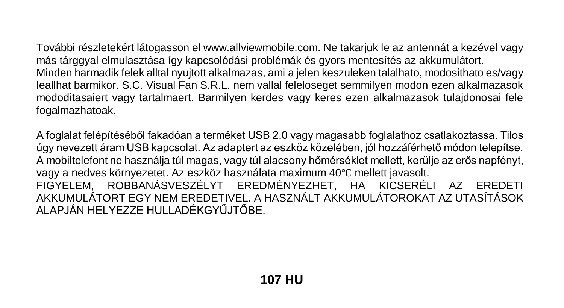További részletekért látogasson el www.allviewmobile.com. Ne takarjuk le az antennát a kezével vagy más tárggyal elmulasztása így kapcsolódási problémák és gyors mentesítés az akkumulátort. Minden harmadik felek alltal nyujtott alkalmazas, ami a jelen keszuleken talalhato, modosithato es/vagy leallhat barmikor. S.C. Visual Fan S.R.L. nem vallal feleloseget semmilyen modon ezen alkalmazasok mododitasaiert vagy tartalmaert. Barmilyen kerdes vagy keres ezen alkalmazasok tulajdonosai fele fogalmazhatoak.

A foglalat felépítéséből fakadóan a terméket USB 2.0 vagy magasabb foglalathoz csatlakoztassa. Tilos úgy nevezett áram USB kapcsolat. Az adaptert az eszköz közelében, jól hozzáférhető módon telepítse. A mobiltelefont ne használja túl magas, vagy túl alacsony hőmérséklet mellett, kerülje az erős napfényt, vagy a nedves környezetet. Az eszköz használata maximum 40℃ mellett javasolt. FIGYELEM, ROBBANÁSVESZÉLYT EREDMÉNYEZHET, HA KICSERÉLI AZ EREDETI AKKUMULÁTORT EGY NEM EREDETIVEL. A HASZNÁLT AKKUMULÁTOROKAT AZ UTASÍTÁSOK ALAPJÁN HELYEZZE HULLADÉKGYŰJTŐBE.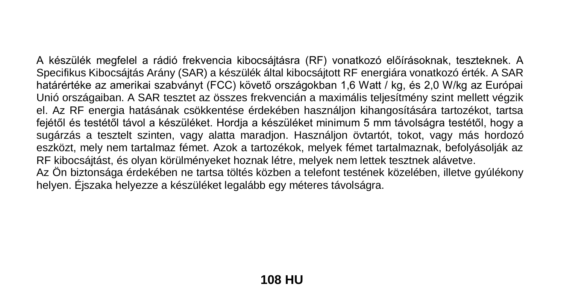A készülék megfelel a rádió frekvencia kibocsájtásra (RF) vonatkozó előírásoknak, teszteknek. A Specifikus Kibocsájtás Arány (SAR) a készülék által kibocsájtott RF energiára vonatkozó érték. A SAR határértéke az amerikai szabványt (FCC) követő országokban 1,6 Watt / kg, és 2,0 W/kg az Európai Unió országaiban. A SAR tesztet az összes frekvencián a maximális teljesítmény szint mellett végzik el. Az RF energia hatásának csökkentése érdekében használjon kihangosítására tartozékot, tartsa fejétől és testétől távol a készüléket. Hordja a készüléket minimum 5 mm távolságra testétől, hogy a sugárzás a tesztelt szinten, vagy alatta maradjon. Használjon övtartót, tokot, vagy más hordozó eszközt, mely nem tartalmaz fémet. Azok a tartozékok, melyek fémet tartalmaznak, befolyásolják az RF kibocsájtást, és olyan körülményeket hoznak létre, melyek nem lettek tesztnek alávetve. Az Ön biztonsága érdekében ne tartsa töltés közben a telefont testének közelében, illetve gyúlékony

helyen. Éjszaka helyezze a készüléket legalább egy méteres távolságra.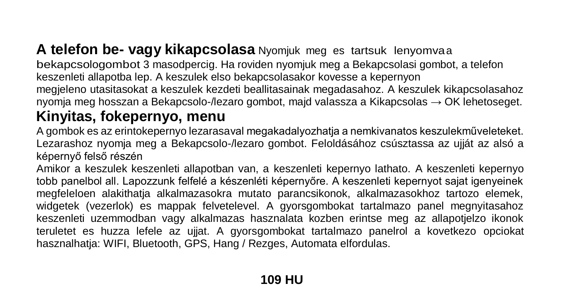#### **A telefon be- vagy kikapcsolasa** Nyomjuk meg es tartsuk lenyomvaa

bekapcsologombot 3 masodpercig. Ha roviden nyomjuk meg a Bekapcsolasi gombot, a telefon keszenleti allapotba lep. A keszulek elso bekapcsolasakor kovesse a kepernyon

megjeleno utasitasokat a keszulek kezdeti beallitasainak megadasahoz. A keszulek kikapcsolasahoz nyomja meg hosszan a Bekapcsolo-/lezaro gombot, majd valassza a Kikapcsolas → OK lehetoseget. **Kinyitas, fokepernyo, menu**

A gombok es az erintokepernyo lezarasaval megakadalyozhatja a nemkivanatos keszulekműveleteket. Lezarashoz nyomja meg a Bekapcsolo-/lezaro gombot. Feloldásához csúsztassa az ujját az alsó a képernyő felső részén

Amikor a keszulek keszenleti allapotban van, a keszenleti kepernyo lathato. A keszenleti kepernyo tobb panelbol all. Lapozzunk felfelé a készenléti képernyőre. A keszenleti kepernyot sajat igenyeinek megfeleloen alakithatja alkalmazasokra mutato parancsikonok, alkalmazasokhoz tartozo elemek, widgetek (vezerlok) es mappak felvetelevel. A gyorsgombokat tartalmazo panel megnyitasahoz keszenleti uzemmodban vagy alkalmazas hasznalata kozben erintse meg az allapotjelzo ikonok teruletet es huzza lefele az ujiat. A gyorsgombokat tartalmazo panelrol a kovetkezo opciokat hasznalhatja: WIFI, Bluetooth, GPS, Hang / Rezges, Automata elfordulas.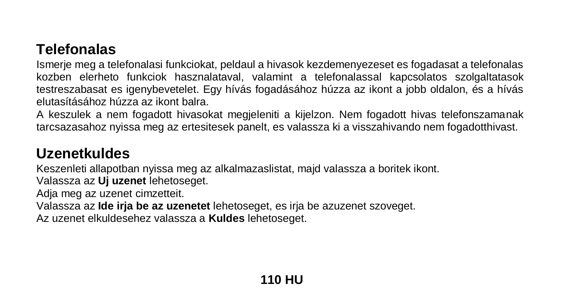#### **Telefonalas**

Ismerje meg a telefonalasi funkciokat, peldaul a hivasok kezdemenyezeset es fogadasat a telefonalas kozben elerheto funkciok hasznalataval, valamint a telefonalassal kapcsolatos szolgaltatasok testreszabasat es igenybevetelet. Egy hívás fogadásához húzza az ikont a jobb oldalon, és a hívás elutasításához húzza az ikont balra.

A keszulek a nem fogadott hivasokat megjeleniti a kijelzon. Nem fogadott hivas telefonszamanak tarcsazasahoz nyissa meg az ertesitesek panelt, es valassza ki a visszahivando nem fogadotthivast.

#### **Uzenetkuldes**

Keszenleti allapotban nyissa meg az alkalmazaslistat, majd valassza a boritek ikont.

Valassza az **Uj uzenet** lehetoseget.

Adja meg az uzenet cimzetteit.

Valassza az **Ide irja be az uzenetet** lehetoseget, es irja be azuzenet szoveget.

Az uzenet elkuldesehez valassza a **Kuldes** lehetoseget.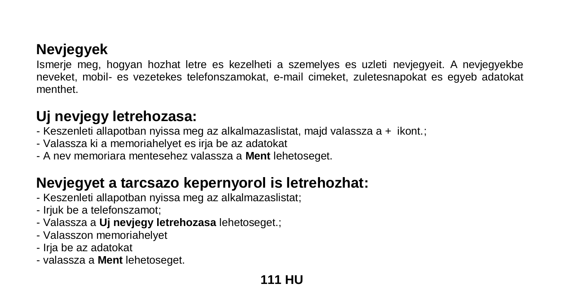### **Nevjegyek**

Ismerje meg, hogyan hozhat letre es kezelheti a szemelyes es uzleti nevjegyeit. A nevjegyekbe neveket, mobil- es vezetekes telefonszamokat, e-mail cimeket, zuletesnapokat es egyeb adatokat menthet.

### **Uj nevjegy letrehozasa:**

- Keszenleti allapotban nyissa meg az alkalmazaslistat, majd valassza a + ikont.;
- Valassza ki a memoriahelyet es irja be az adatokat
- A nev memoriara mentesehez valassza a **Ment** lehetoseget.

### **Nevjegyet a tarcsazo kepernyorol is letrehozhat:**

- Keszenleti allapotban nyissa meg az alkalmazaslistat;
- Irjuk be a telefonszamot;
- Valassza a **Uj nevjegy letrehozasa** lehetoseget.;
- Valasszon memoriahelyet
- Irja be az adatokat
- valassza a **Ment** lehetoseget.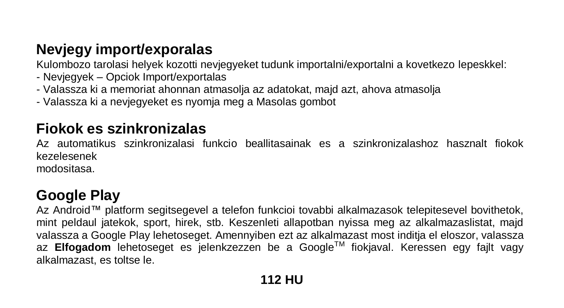### **Nevjegy import/exporalas**

Kulombozo tarolasi helyek kozotti nevjegyeket tudunk importalni/exportalni a kovetkezo lepeskkel:

- Nevjegyek Opciok Import/exportalas
- Valassza ki a memoriat ahonnan atmasolja az adatokat, majd azt, ahova atmasolja

- Valassza ki a nevjegyeket es nyomja meg a Masolas gombot

### **Fiokok es szinkronizalas**

Az automatikus szinkronizalasi funkcio beallitasainak es a szinkronizalashoz hasznalt fiokok kezelesenek modositasa.

### **Google Play**

Az Android™ platform segitsegevel a telefon funkcioi tovabbi alkalmazasok telepitesevel bovithetok, mint peldaul jatekok, sport, hirek, stb. Keszenleti allapotban nyissa meg az alkalmazaslistat, majd valassza a Google Play lehetoseget. Amennyiben ezt az alkalmazast most inditja el eloszor, valassza az **Elfogadom** lehetoseget es jelenkzezzen be a Google™ fiokjaval. Keressen egy fajlt vagy alkalmazast, es toltse le.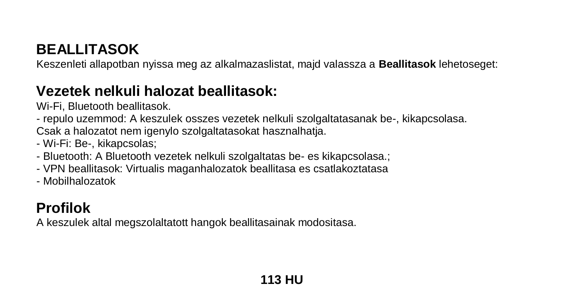### **BEALLITASOK**

Keszenleti allapotban nyissa meg az alkalmazaslistat, majd valassza a **Beallitasok** lehetoseget:

### **Vezetek nelkuli halozat beallitasok:**

Wi-Fi, Bluetooth beallitasok.

- repulo uzemmod: A keszulek osszes vezetek nelkuli szolgaltatasanak be-, kikapcsolasa. Csak a halozatot nem igenylo szolgaltatasokat hasznalhatja.

- Wi-Fi: Be-, kikapcsolas;
- Bluetooth: A Bluetooth vezetek nelkuli szolgaltatas be- es kikapcsolasa.;
- VPN beallitasok: Virtualis maganhalozatok beallitasa es csatlakoztatasa
- Mobilhalozatok

### **Profilok**

A keszulek altal megszolaltatott hangok beallitasainak modositasa.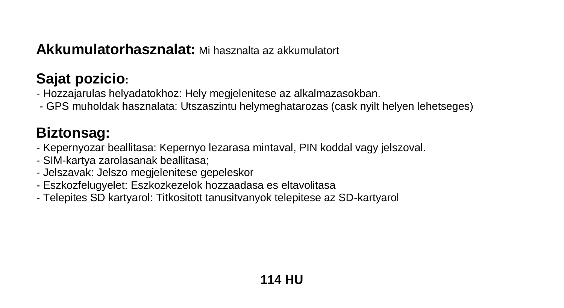#### **Akkumulatorhasznalat:** Mi hasznalta az akkumulatort

## **Sajat pozicio:**

- Hozzajarulas helyadatokhoz: Hely megjelenitese az alkalmazasokban.

- GPS muholdak hasznalata: Utszaszintu helymeghatarozas (cask nyilt helyen lehetseges)

## **Biztonsag:**

- Kepernyozar beallitasa: Kepernyo lezarasa mintaval, PIN koddal vagy jelszoval.
- SIM-kartya zarolasanak beallitasa;
- Jelszavak: Jelszo megjelenitese gepeleskor
- Eszkozfelugyelet: Eszkozkezelok hozzaadasa es eltavolitasa
- Telepites SD kartyarol: Titkositott tanusitvanyok telepitese az SD-kartyarol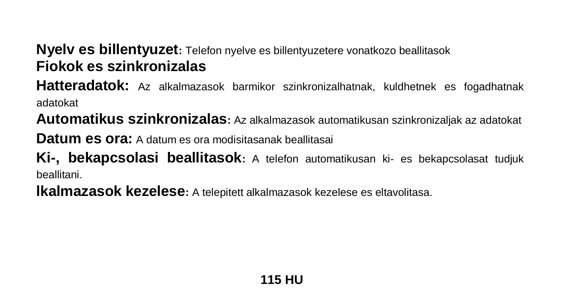#### **Nyelv es billentyuzet:** Telefon nyelve es billentyuzetere vonatkozo beallitasok **Fiokok es szinkronizalas**

**Hatteradatok:** Az alkalmazasok barmikor szinkronizalhatnak, kuldhetnek es fogadhatnak adatokat

**Automatikus szinkronizalas:** Az alkalmazasok automatikusan szinkronizaljak az adatokat

**Datum es ora:** A datum es ora modisitasanak beallitasai

**Ki-, bekapcsolasi beallitasok:** A telefon automatikusan ki- es bekapcsolasat tudjuk beallitani.

**lkalmazasok kezelese:** A telepitett alkalmazasok kezelese es eltavolitasa.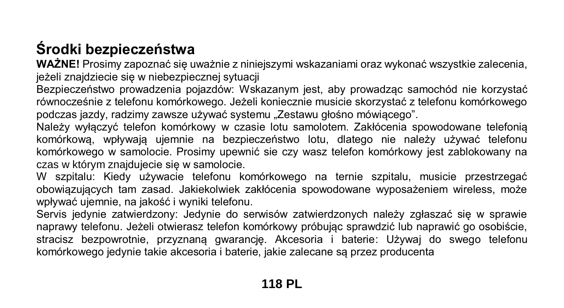# **Środki bezpieczeństwa**

**WAŻNE!** Prosimy zapoznać się uważnie z niniejszymi wskazaniami oraz wykonać wszystkie zalecenia, jeżeli znajdziecie się w niebezpiecznej sytuacji

Bezpieczeństwo prowadzenia pojazdów: Wskazanym jest, aby prowadząc samochód nie korzystać równocześnie z telefonu komórkowego. Jeżeli koniecznie musicie skorzystać z telefonu komórkowego podczas jazdy, radzimy zawsze używać systemu "Zestawu głośno mówiącego".

Należy wyłączyć telefon komórkowy w czasie lotu samolotem. Zakłócenia spowodowane telefonią komórkową, wpływają ujemnie na bezpieczeństwo lotu, dlatego nie należy używać telefonu komórkowego w samolocie. Prosimy upewnić sie czy wasz telefon komórkowy jest zablokowany na czas w którym znajdujecie się w samolocie.

W szpitalu: Kiedy używacie telefonu komórkowego na ternie szpitalu, musicie przestrzegać obowiązujących tam zasad. Jakiekolwiek zakłócenia spowodowane wyposażeniem wireless, może wpływać ujemnie, na jakość i wyniki telefonu.

Servis jedynie zatwierdzony: Jedynie do serwisów zatwierdzonych należy zgłaszać się w sprawie naprawy telefonu. Jeżeli otwierasz telefon komórkowy próbując sprawdzić lub naprawić go osobiście, stracisz bezpowrotnie, przyznaną gwarancie. Akcesoria i baterie: Używaj do swego telefonu komórkowego jedynie takie akcesoria i baterie, jakie zalecane są przez producenta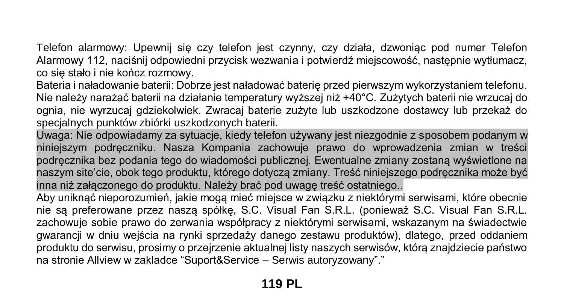Telefon alarmowy: Upewnij się czy telefon jest czynny, czy działa, dzwoniąc pod numer Telefon Alarmowy 112, naciśnij odpowiedni przycisk wezwania i potwierdź miejscowość, następnie wytłumacz, co się stało i nie kończ rozmowy.

Bateria i naładowanie baterii: Dobrze jest naładować baterię przed pierwszym wykorzystaniem telefonu. Nie należy narażać baterii na działanie temperatury wyższej niż +40°C. Zużytych baterii nie wrzucaj do ognia, nie wyrzucaj gdziekolwiek. Zwracaj baterie zużyte lub uszkodzone dostawcy lub przekaż do specjalnych punktów zbiórki uszkodzonych baterii.

Uwaga: Nie odpowiadamy za sytuacje, kiedy telefon używany jest niezgodnie z sposobem podanym w niniejszym podręczniku. Nasza Kompania zachowuje prawo do wprowadzenia zmian w treści podręcznika bez podania tego do wiadomości publicznej. Ewentualne zmiany zostaną wyświetlone na naszym site'cie, obok tego produktu, którego dotyczą zmiany. Treść niniejszego podręcznika może być inna niż załączonego do produktu. Należy brać pod uwagę treść ostatniego..

Aby uniknąć nieporozumień, jakie mogą mieć miejsce w związku z niektórymi serwisami, które obecnie nie są preferowane przez naszą spółkę, S.C. Visual Fan S.R.L. (ponieważ S.C. Visual Fan S.R.L. zachowuje sobie prawo do zerwania współpracy z niektórymi serwisami, wskazanym na świadectwie gwarancji w dniu wejścia na rynki sprzedaży danego zestawu produktów), dlatego, przed oddaniem produktu do serwisu, prosimy o przejrzenie aktualnej listy naszych serwisów, którą znajdziecie państwo na stronie Allview w zakladce "Suport&Service – Serwis autoryzowany"."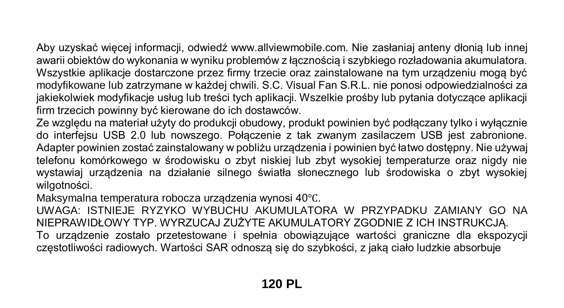Aby uzyskać więcej informacji, odwiedź www.allviewmobile.com. Nie zasłaniaj anteny dłonią lub innej awarii obiektów do wykonania w wyniku problemów z łącznością i szybkiego rozładowania akumulatora. Wszystkie aplikacje dostarczone przez firmy trzecie oraz zainstalowane na tym urządzeniu mogą być modyfikowane lub zatrzymane w każdej chwili. S.C. Visual Fan S.R.L. nie ponosi odpowiedzialności za jakiekolwiek modyfikacje usług lub treści tych aplikacji. Wszelkie prośby lub pytania dotyczące aplikacji firm trzecich powinny być kierowane do ich dostawców.

Ze względu na materiał użyty do produkcji obudowy, produkt powinien być podłączany tylko i wyłącznie do interfejsu USB 2.0 lub nowszego. Połączenie z tak zwanym zasilaczem USB jest zabronione. Adapter powinien zostać zainstalowany w pobliżu urządzenia i powinien być łatwo dostępny. Nie używaj telefonu komórkowego w środowisku o zbyt niskiej lub zbyt wysokiej temperaturze oraz nigdy nie wystawiaj urządzenia na działanie silnego światła słonecznego lub środowiska o zbyt wysokiej wilgotności.

Maksymalna temperatura robocza urządzenia wynosi 40℃.

UWAGA: ISTNIEJE RYZYKO WYBUCHU AKUMULATORA W PRZYPADKU ZAMIANY GO NA NIEPRAWIDŁOWY TYP. WYRZUCAJ ZUŻYTE AKUMULATORY ZGODNIE Z ICH INSTRUKCJĄ. To urządzenie zostało przetestowane i spełnia obowiązujące wartości graniczne dla ekspozycji częstotliwości radiowych. Wartości SAR odnoszą się do szybkości, z jaką ciało ludzkie absorbuje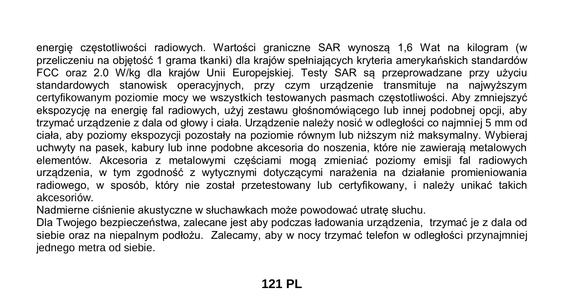energię częstotliwości radiowych. Wartości graniczne SAR wynoszą 1,6 Wat na kilogram (w przeliczeniu na objętość 1 grama tkanki) dla krajów spełniających kryteria amerykańskich standardów FCC oraz 2.0 W/kg dla krajów Unii Europejskiej. Testy SAR są przeprowadzane przy użyciu standardowych stanowisk operacyjnych, przy czym urządzenie transmituje na najwyższym certyfikowanym poziomie mocy we wszystkich testowanych pasmach częstotliwości. Aby zmniejszyć ekspozycję na energię fal radiowych, użyj zestawu głośnomówiącego lub innej podobnej opcji, aby trzymać urządzenie z dala od głowy i ciała. Urządzenie należy nosić w odległości co najmniej 5 mm od ciała, aby poziomy ekspozycji pozostały na poziomie równym lub niższym niż maksymalny. Wybieraj uchwyty na pasek, kabury lub inne podobne akcesoria do noszenia, które nie zawierają metalowych elementów. Akcesoria z metalowymi częściami mogą zmieniać poziomy emisji fal radiowych urządzenia, w tym zgodność z wytycznymi dotyczącymi narażenia na działanie promieniowania radiowego, w sposób, który nie został przetestowany lub certyfikowany, i należy unikać takich akcesoriów.

Nadmierne ciśnienie akustyczne w słuchawkach może powodować utratę słuchu.

Dla Twojego bezpieczeństwa, zalecane jest aby podczas ładowania urządzenia, trzymać je z dala od siebie oraz na niepalnym podłożu. Zalecamy, aby w nocy trzymać telefon w odległości przynajmniej jednego metra od siebie.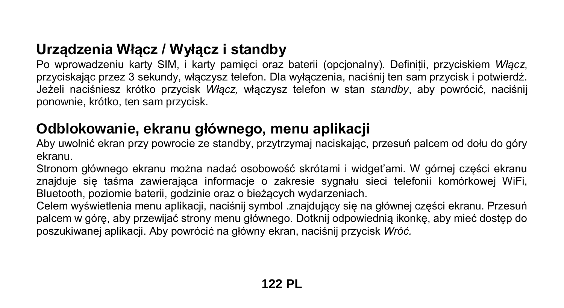### **Urządzenia Włącz / Wyłącz i standby**

Po wprowadzeniu karty SIM, i karty pamięci oraz baterii (opcjonalny). Definiții, przyciskiem *Włącz*, przyciskając przez 3 sekundy, włączysz telefon. Dla wyłączenia, naciśnij ten sam przycisk i potwierdź. Jeżeli naciśniesz krótko przycisk *Włącz,* włączysz telefon w stan *standby*, aby powrócić, naciśnij ponownie, krótko, ten sam przycisk.

### **Odblokowanie, ekranu głównego, menu aplikacji**

Aby uwolnić ekran przy powrocie ze standby, przytrzymaj naciskając, przesuń palcem od dołu do góry ekranu.

Stronom głównego ekranu można nadać osobowość skrótami i widget'ami. W górnej części ekranu znajduje się taśma zawierająca informację o zakresie sygnału sięci telefonii komórkowej WiFi. Bluetooth, poziomie baterii, godzinie oraz o bieżących wydarzeniach.

Celem wyświetlenia menu aplikacji, naciśnij symbol .znajdujący się na głównej części ekranu. Przesuń palcem w górę, aby przewijać strony menu głównego. Dotknij odpowiednią ikonkę, aby mieć dostęp do poszukiwanej aplikacji. Aby powrócić na główny ekran, naciśnij przycisk *Wróć.*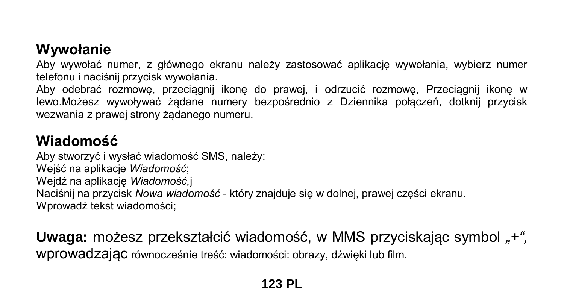## **Wywołanie**

Aby wywołać numer, z głównego ekranu należy zastosować aplikację wywołania, wybierz numer telefonu i naciśnij przycisk wywołania.

Aby odebrać rozmowę, przeciągnij ikonę do prawej, i odrzucić rozmowę, Przeciągnij ikonę w lewo.Możesz wywoływać żądane numery bezpośrednio z Dziennika połączeń, dotknij przycisk wezwania z prawej strony żądanego numeru.

#### **Wiadomość**

Aby stworzyć i wysłać wiadomość SMS, należy: Wejść na aplikacje *Wiadomość*; Wejdź na aplikację *Wiadomość,*j Naciśnij na przycisk *Nowa wiadomość* - który znajduje się w dolnej, prawej części ekranu. Wprowadź tekst wiadomości;

**Uwaga:** możesz przekształcić wiadomość, w MMS przyciskając symbol *"+",*  wprowadzając równocześnie treść: wiadomości: obrazy, dźwięki lub film.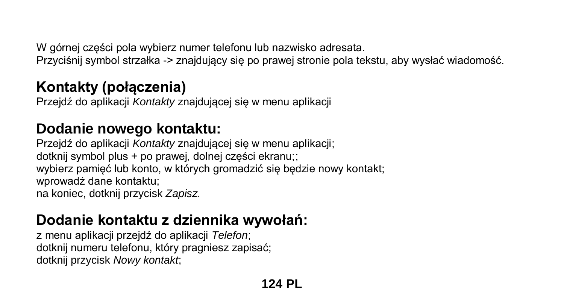W górnej części pola wybierz numer telefonu lub nazwisko adresata.

Przyciśnij symbol strzałka -> znajdujący się po prawej stronie pola tekstu, aby wysłać wiadomość.

## **Kontakty (połączenia)**

Przejdź do aplikacji *Kontakty* znajdującej się w menu aplikacji

## **Dodanie nowego kontaktu:**

Przejdź do aplikacji *Kontakty* znajdującej się w menu aplikacji; dotknij symbol plus + po prawej, dolnej części ekranu;; wybierz pamięć lub konto, w których gromadzić się będzie nowy kontakt; wprowadź dane kontaktu; na koniec, dotknij przycisk *Zapisz.*

## **Dodanie kontaktu z dziennika wywołań:**

z menu aplikacji przejdź do aplikacji *Telefon*; dotknij numeru telefonu, który pragniesz zapisać; dotknij przycisk *Nowy kontakt*;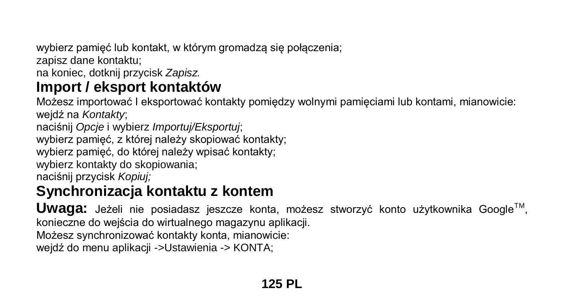wybierz pamięć lub kontakt, w którym gromadzą się połączenia; zapisz dane kontaktu;

na koniec, dotknij przycisk *Zapisz.*

## **Import / eksport kontaktów**

Możesz importować I eksportować kontakty pomiędzy wolnymi pamięciami lub kontami, mianowicie: wejdź na *Kontakty*;

naciśnij *Opcje* i wybierz *Importuj/Eksportuj*; wybierz pamięć, z której należy skopiować kontakty; wybierz pamięć, do której należy wpisać kontakty; wybierz kontakty do skopiowania; naciśnij przycisk *Kopiuj;*

## **Synchronizacja kontaktu z kontem**

Uwaga: Jeżeli nie posiadasz jeszcze konta, możesz stworzyć konto użytkownika Google™, konieczne do wejścia do wirtualnego magazynu aplikacji. Możesz synchronizować kontakty konta, mianowicie:

weidź do menu aplikacji ->Ustawienia -> KONTA;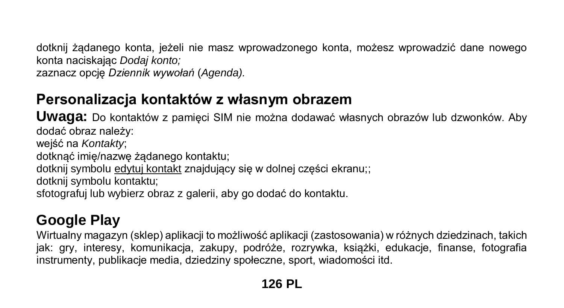dotknij żądanego konta, jeżeli nie masz wprowadzonego konta, możesz wprowadzić dane nowego konta naciskając *Dodaj konto;* zaznacz opcję *Dziennik wywołań* (*Agenda).*

#### **Personalizacja kontaktów z własnym obrazem**

**Uwaga:** Do kontaktów z pamięci SIM nie można dodawać własnych obrazów lub dzwonków. Aby dodać obraz należy:

wejść na *Kontakty*;

dotknąć imię/nazwę żądanego kontaktu;

dotknij symbolu edytuj kontakt znajdujący się w dolnej części ekranu;;

dotknij symbolu kontaktu;

sfotografuj lub wybierz obraz z galerii, aby go dodać do kontaktu.

## **Google Play**

Wirtualny magazyn (sklep) aplikacji to możliwość aplikacji (zastosowania) w różnych dziedzinach, takich jak: gry, interesy, komunikacja, zakupy, podróże, rozrywka, książki, edukacje, finanse, fotografia instrumenty, publikacje media, dziedziny społeczne, sport, wiadomości itd.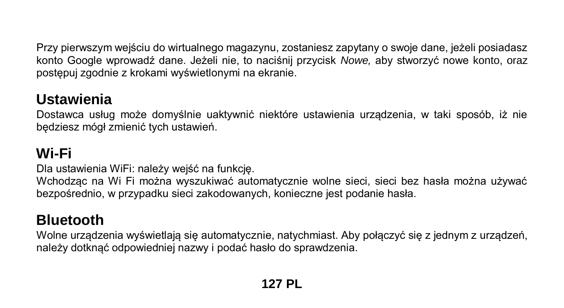Przy pierwszym wejściu do wirtualnego magazynu, zostaniesz zapytany o swoje dane, jeżeli posiadasz konto Google wprowadź dane. Jeżeli nie, to naciśnij przycisk *Nowe,* aby stworzyć nowe konto, oraz postępuj zgodnie z krokami wyświetlonymi na ekranie.

#### **Ustawienia**

Dostawca usług może domyślnie uaktywnić niektóre ustawienia urządzenia, w taki sposób, iż nie będziesz mógł zmienić tych ustawień.

#### **Wi-Fi**

Dla ustawienia WiFi: należy wejść na funkcję.

Wchodząc na Wi Fi można wyszukiwać automatycznie wolne sieci, sieci bez hasła można używać bezpośrednio, w przypadku sieci zakodowanych, konieczne jest podanie hasła.

## **Bluetooth**

Wolne urządzenia wyświetlają się automatycznie, natychmiast. Aby połączyć się z jednym z urządzeń, należy dotknąć odpowiedniej nazwy i podać hasło do sprawdzenia.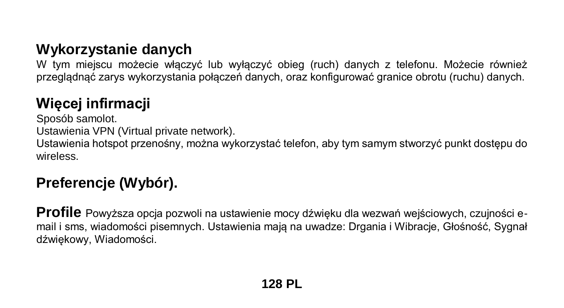### **Wykorzystanie danych**

W tym miejscu możecie włączyć lub wyłączyć obieg (ruch) danych z telefonu. Możecie również przeglądnąć zarys wykorzystania połączeń danych, oraz konfigurować granice obrotu (ruchu) danych.

## **Więcej infirmacji**

Sposób samolot.

Ustawienia VPN (Virtual private network).

Ustawienia hotspot przenośny, można wykorzystać telefon, aby tym samym stworzyć punkt dostępu do wireless.

## **Preferencje (Wybór).**

**Profile** Powyższa opcja pozwoli na ustawienie mocy dźwięku dla wezwań wejściowych, czujności email i sms, wiadomości pisemnych. Ustawienia mają na uwadze: Drgania i Wibracje, Głośność, Sygnał dźwiękowy, Wiadomości.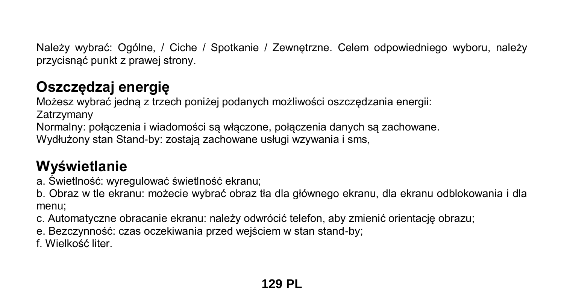Należy wybrać: Ogólne, / Ciche / Spotkanie / Zewnętrzne. Celem odpowiedniego wyboru, należy przycisnąć punkt z prawej strony.

## **Oszczędzaj energię**

Możesz wybrać jedną z trzech poniżej podanych możliwości oszczędzania energii: **Zatrzymany** Normalny: połączenia i wiadomości są włączone, połączenia danych są zachowane.

Wydłużony stan Stand-by: zostają zachowane usługi wzywania i sms,

## **Wyświetlanie**

a. Świetlność: wyregulować świetlność ekranu;

b. Obraz w tle ekranu: możecie wybrać obraz tła dla głównego ekranu, dla ekranu odblokowania i dla menu;

c. Automatyczne obracanie ekranu: należy odwrócić telefon, aby zmienić orientację obrazu;

e. Bezczynność: czas oczekiwania przed wejściem w stan stand-by;

f. Wielkość liter.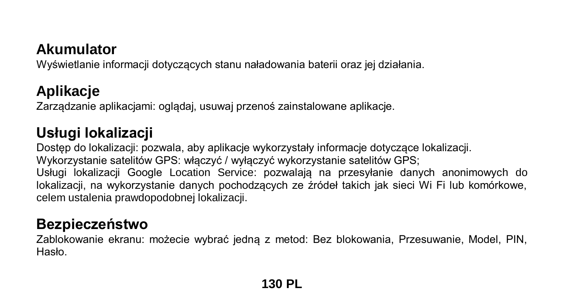#### **Akumulator**

Wyświetlanie informacji dotyczących stanu naładowania baterii oraz jej działania.

#### **Aplikacje**

Zarządzanie aplikacjami: oglądaj, usuwaj przenoś zainstalowane aplikacje.

## **Usługi lokalizacji**

Dostęp do lokalizacji: pozwala, aby aplikacje wykorzystały informacje dotyczące lokalizacji. Wykorzystanie satelitów GPS: włączyć / wyłączyć wykorzystanie satelitów GPS; Usługi lokalizacji Google Location Service: pozwalają na przesyłanie danych anonimowych do lokalizacji, na wykorzystanie danych pochodzących ze źródeł takich jak sieci Wi Fi lub komórkowe, celem ustalenia prawdopodobnej lokalizacji.

## **Bezpieczeństwo**

Zablokowanie ekranu: możecie wybrać jedną z metod: Bez blokowania, Przesuwanie, Model, PIN, Hasło.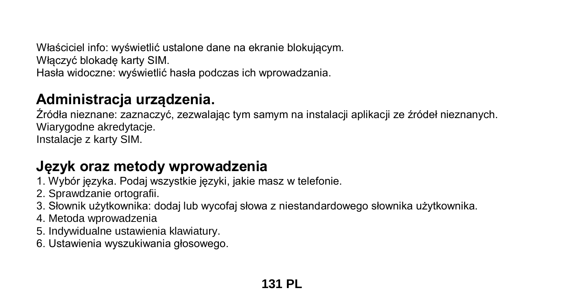Właściciel info: wyświetlić ustalone dane na ekranie blokującym. Włączyć blokadę karty SIM. Hasła widoczne: wyświetlić hasła podczas ich wprowadzania.

## **Administracja urządzenia.**

Źródła nieznane: zaznaczyć, zezwalając tym samym na instalacji aplikacji ze źródeł nieznanych. Wiarygodne akredytacje. Instalacje z karty SIM.

## **Język oraz metody wprowadzenia**

- 1. Wybór języka. Podaj wszystkie języki, jakie masz w telefonie.
- 2. Sprawdzanie ortografii.
- 3. Słownik użytkownika: dodaj lub wycofaj słowa z niestandardowego słownika użytkownika.
- 4. Metoda wprowadzenia
- 5. Indywidualne ustawienia klawiatury.
- 6. Ustawienia wyszukiwania głosowego.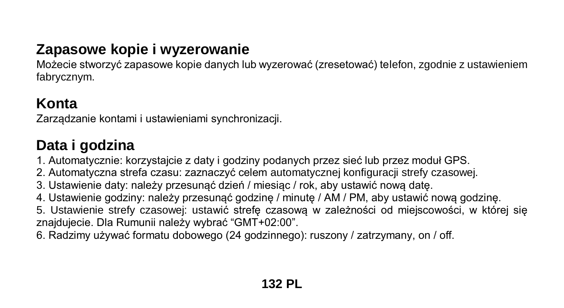## **Zapasowe kopie i wyzerowanie**

Możecie stworzyć zapasowe kopie danych lub wyzerować (zresetować) telefon, zgodnie z ustawieniem fabrycznym.

#### **Konta**

Zarządzanie kontami i ustawieniami synchronizacji.

## **Data i godzina**

1. Automatycznie: korzystajcie z daty i godziny podanych przez sieć lub przez moduł GPS.

- 2. Automatyczna strefa czasu: zaznaczyć celem automatycznej konfiguracji strefy czasowej.
- 3. Ustawienie daty: należy przesunąć dzień / miesiąc / rok, aby ustawić nową datę.
- 4. Ustawienie godziny: należy przesunąć godzinę / minutę / AM / PM, aby ustawić nową godzinę.

5. Ustawienie strefy czasowej: ustawić strefę czasową w zależności od miejscowości, w której się znajdujecie. Dla Rumunii należy wybrać "GMT+02:00".

6. Radzimy używać formatu dobowego (24 godzinnego): ruszony / zatrzymany, on / off.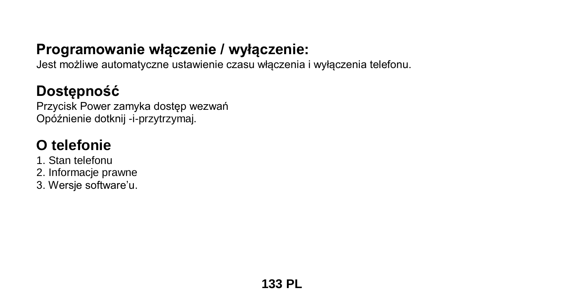#### **Programowanie włączenie / wyłączenie:**

Jest możliwe automatyczne ustawienie czasu włączenia i wyłączenia telefonu.

## **Dostępność**

Przycisk Power zamyka dostęp wezwań Opóźnienie dotknij -i-przytrzymaj.

## **O telefonie**

- 1. Stan telefonu
- 2. Informacje prawne
- 3. Wersje software'u.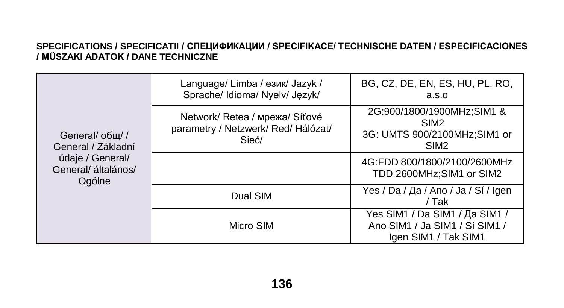# **SPECIFICATIONS / SPECIFICATII / СПЕЦИФИКАЦИИ / SPECIFIKACE/ TECHNISCHE DATEN / ESPECIFICACIONES / MŰSZAKI ADATOK / DANE TECHNICZNE**

| General/ общ/ /<br>General / Základní<br>údaje / General/<br>General/ általános/<br>Ogólne | Language/ Limba / език/ Jazyk /<br>Sprache/ Idioma/ Nyelv/ Język/              | BG, CZ, DE, EN, ES, HU, PL, RO,<br>a.s.o                                                           |
|--------------------------------------------------------------------------------------------|--------------------------------------------------------------------------------|----------------------------------------------------------------------------------------------------|
|                                                                                            | Network/ Retea / мрежа/ Síťové<br>parametry / Netzwerk/ Red/ Hálózat/<br>Sieć/ | 2G:900/1800/1900MHz;SIM1 &<br>SIM <sub>2</sub><br>3G: UMTS 900/2100MHz:SIM1 or<br>SIM <sub>2</sub> |
|                                                                                            |                                                                                | 4G:FDD 800/1800/2100/2600MHz<br>TDD 2600MHz:SIM1 or SIM2                                           |
|                                                                                            | Dual SIM                                                                       | Yes / Da / Да / Ano / Ja / Sí / Igen<br>/ Tak                                                      |
|                                                                                            | Micro SIM                                                                      | Yes SIM1 / Da SIM1 / Да SIM1 /<br>Ano SIM1 / Ja SIM1 / Sí SIM1 /<br>Igen SIM1 / Tak SIM1           |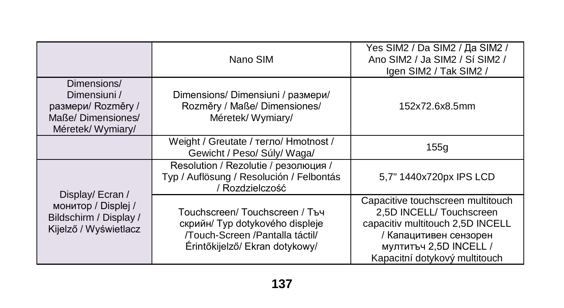|                                                                                             | Yes SIM2 / Da SIM2 / Да SIM2 /<br>Ano SIM2 / Ja SIM2 / Sí SIM2 /<br>Nano SIM<br>Igen SIM2 / Tak SIM2 /                                                                                                                                                                                                                          |                         |  |  |
|---------------------------------------------------------------------------------------------|---------------------------------------------------------------------------------------------------------------------------------------------------------------------------------------------------------------------------------------------------------------------------------------------------------------------------------|-------------------------|--|--|
| Dimensions/<br>Dimensiuni /<br>размери/ Rozměry /<br>Maße/Dimensiones/<br>Méretek/ Wymiary/ | Dimensions/ Dimensiuni / размери/<br>Rozměry / Maße/ Dimensiones/<br>Méretek/ Wymiary/                                                                                                                                                                                                                                          | 152x72.6x8.5mm          |  |  |
|                                                                                             | Weight / Greutate / тегло/ Hmotnost /<br>Gewicht / Peso/ Súlv/ Waga/                                                                                                                                                                                                                                                            | 155q                    |  |  |
|                                                                                             | Resolution / Rezolutie / резолюция /<br>Typ / Auflösung / Resolución / Felbontás<br>/ Rozdzielczość                                                                                                                                                                                                                             | 5,7" 1440x720px IPS LCD |  |  |
| Display/Ecran/<br>монитор / Displej /<br>Bildschirm / Display /<br>Kijelző / Wyświetlacz    | Capacitive touchscreen multitouch<br>2.5D INCELL/ Touchscreen<br>Touchscreen/Touchscreen / Тъч<br>capacitiv multitouch 2,5D INCELL<br>скрийн/ Typ dotykového displeje<br>/Touch-Screen /Pantalla táctil/<br>/ Капацитивен сензорен<br>Érintőkijelző/ Ekran dotykowy/<br>мултитьч 2,5D INCELL /<br>Kapacitní dotvkový multitouch |                         |  |  |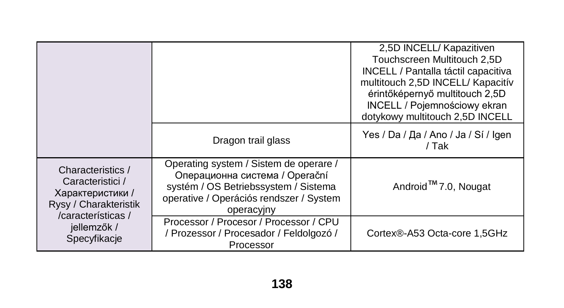|                                                                                                          |                                                                                                                                                                           | 2,5D INCELL/ Kapazitiven<br>Touchscreen Multitouch 2.5D<br>INCELL / Pantalla táctil capacitiva<br>multitouch 2.5D INCELL/ Kapacitív<br>érintőképernyő multitouch 2,5D<br>INCELL / Pojemnościowy ekran<br>dotykowy multitouch 2.5D INCELL |
|----------------------------------------------------------------------------------------------------------|---------------------------------------------------------------------------------------------------------------------------------------------------------------------------|------------------------------------------------------------------------------------------------------------------------------------------------------------------------------------------------------------------------------------------|
|                                                                                                          | Dragon trail glass                                                                                                                                                        | Yes / Da / Да / Ano / Ja / Sí / Igen<br>/ Tak                                                                                                                                                                                            |
| Characteristics /<br>Caracteristici /<br>Характеристики /<br>Rysy / Charakteristik<br>/características / | Operating system / Sistem de operare /<br>Операционна система / Operační<br>systém / OS Betriebssystem / Sistema<br>operative / Operációs rendszer / System<br>operacyjny | Android <sup>™</sup> 7.0. Nougat                                                                                                                                                                                                         |
| jellemzők /<br>Specyfikacje                                                                              | Processor / Procesor / Processor / CPU<br>/ Prozessor / Procesador / Feldolgozó /<br>Processor                                                                            | Cortex®-A53 Octa-core 1.5GHz                                                                                                                                                                                                             |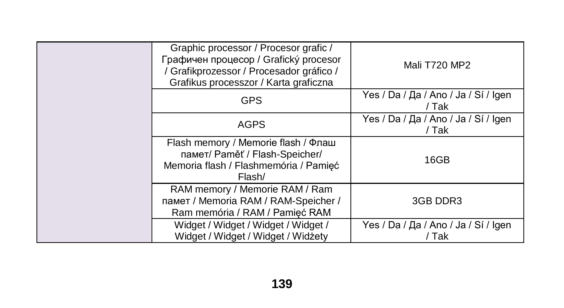| Graphic processor / Procesor grafic /<br>Графичен процесор / Grafický procesor<br>/ Grafikprozessor / Procesador gráfico /<br>Grafikus processzor / Karta graficzna | Mali T720 MP2                                 |
|---------------------------------------------------------------------------------------------------------------------------------------------------------------------|-----------------------------------------------|
| <b>GPS</b>                                                                                                                                                          | Yes / Da / Да / Ano / Ja / Sí / Igen<br>/ Tak |
| <b>AGPS</b>                                                                                                                                                         | Yes / Da / Да / Ano / Ja / Sí / Igen<br>/ Tak |
| Flash memory / Memorie flash / Флаш<br>памет/ Paměť / Flash-Speicher/<br>Memoria flash / Flashmemória / Pamieć<br>Flash/                                            | 16GB                                          |
| RAM memory / Memorie RAM / Ram<br>памет / Memoria RAM / RAM-Speicher /<br>Ram memória / RAM / Pamieć RAM                                                            | 3GB DDR3                                      |
| Widget / Widget / Widget / Widget /<br>Widget / Widget / Widget / Widzetv                                                                                           | Yes / Da / Да / Ano / Ja / Sí / Igen<br>/ Tak |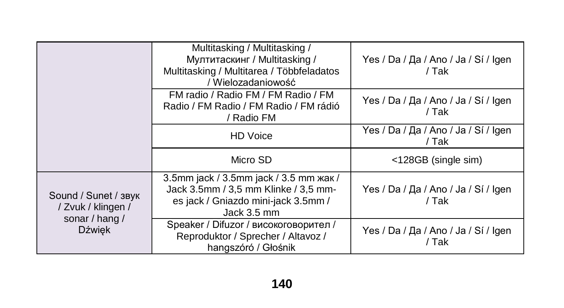|                                                              | Multitasking / Multitasking /<br>Мултитаскинг / Multitasking /<br>Multitasking / Multitarea / Többfeladatos<br>/ Wielozadaniowość            | Yes / Da / Да / Ano / Ja / Sí / Igen<br>/ Tak |  |
|--------------------------------------------------------------|----------------------------------------------------------------------------------------------------------------------------------------------|-----------------------------------------------|--|
|                                                              | FM radio / Radio FM / FM Radio / FM<br>Yes / Da / Да / Ano / Ja / Sí / Igen<br>Radio / FM Radio / FM Radio / FM rádió<br>/ Tak<br>/ Radio FM |                                               |  |
|                                                              | <b>HD</b> Voice                                                                                                                              | Yes / Da / Да / Ano / Ja / Sí / Igen<br>/ Tak |  |
|                                                              | Micro SD                                                                                                                                     | <128GB (single sim)                           |  |
| Sound / Sunet / звук<br>/ Zvuk / klingen /<br>sonar / hang / | 3.5mm jack / 3.5mm jack / 3.5 mm жак /<br>Jack 3.5mm / 3.5 mm Klinke / 3.5 mm-<br>es jack / Gniazdo mini-jack 3.5mm /<br>Jack 3.5 mm         | Yes / Da / Да / Ano / Ja / Sí / Igen<br>/ Tak |  |
| <b>Dźwiek</b>                                                | Speaker / Difuzor / високоговорител /<br>Reproduktor / Sprecher / Altavoz /<br>hangszóró / Głośnik                                           | Yes / Da / Да / Ano / Ja / Sí / Igen<br>/ Tak |  |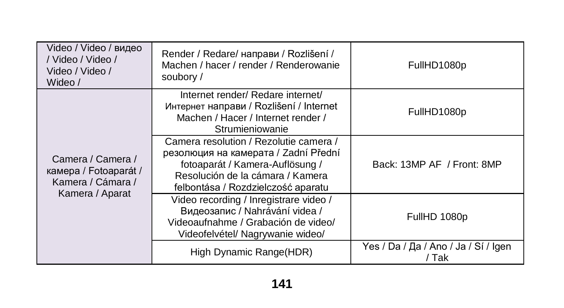| Video / Video / видео<br>/ Video / Video /<br>Video / Video /<br>Wideo /           | Render / Redare/ направи / Rozlišení /<br>Machen / hacer / render / Renderowanie<br>soubory /                                                                                               | FullHD1080p                                   |  |
|------------------------------------------------------------------------------------|---------------------------------------------------------------------------------------------------------------------------------------------------------------------------------------------|-----------------------------------------------|--|
| Camera / Camera /<br>камера / Fotoaparát /<br>Kamera / Cámara /<br>Kamera / Aparat | Internet render/ Redare internet/<br>Интернет направи / Rozlišení / Internet<br>Machen / Hacer / Internet render /<br>Strumieniowanie                                                       | FullHD1080p                                   |  |
|                                                                                    | Camera resolution / Rezolutie camera /<br>резолюция на камерата / Zadní Přední<br>fotoaparát / Kamera-Auflösung /<br>Resolución de la cámara / Kamera<br>felbontása / Rozdzielczość aparatu | Back: 13MP AF / Front: 8MP                    |  |
|                                                                                    | Video recording / Inregistrare video /<br>Видеозапис / Nahrávání videa /<br>Videoaufnahme / Grabación de video/<br>Videofelvétel/ Nagrywanie wideo/                                         | FullHD 1080p                                  |  |
|                                                                                    | High Dynamic Range(HDR)                                                                                                                                                                     | Yes / Da / Да / Ano / Ja / Sí / Igen<br>/ Tak |  |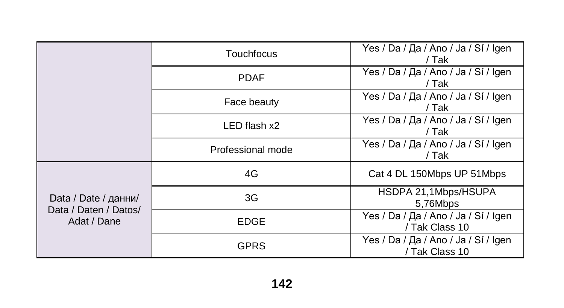|                                                              | Touchfocus        | Yes / Da / Да / Ano / Ja / Sí / Igen<br>/ Tak          |
|--------------------------------------------------------------|-------------------|--------------------------------------------------------|
|                                                              | <b>PDAF</b>       | Yes / Da / Да / Ano / Ja / Sí / Igen<br>/ Tak          |
|                                                              | Face beauty       | Yes / Da / Да / Ano / Ja / Sí / Igen<br>/ Tak          |
|                                                              | LED flash x2      | Yes / Da / Да / Ano / Ja / Sí / Igen<br>/ Tak          |
|                                                              | Professional mode | Yes / Da / Да / Ano / Ja / Sí / Igen<br>/ Tak          |
|                                                              | 4G                | Cat 4 DL 150Mbps UP 51Mbps                             |
| Data / Date / данни/<br>Data / Daten / Datos/<br>Adat / Dane | 3G                | HSDPA 21,1Mbps/HSUPA<br>5.76Mbps                       |
|                                                              | <b>EDGE</b>       | Yes / Da / Да / Ano / Ja / Sí / Igen<br>/ Tak Class 10 |
|                                                              | <b>GPRS</b>       | Yes / Da / Да / Ano / Ja / Sí / Igen<br>/ Tak Class 10 |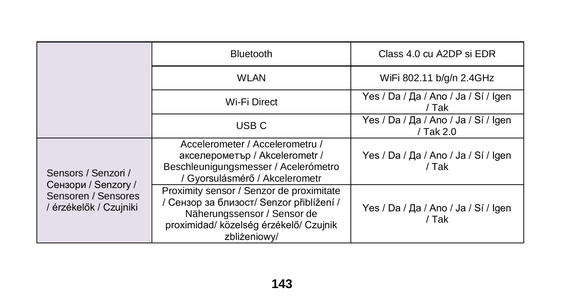|                                                                      | Bluetooth                                                                                                                                                                     | Class 4.0 cu A2DP si EDR                          |  |
|----------------------------------------------------------------------|-------------------------------------------------------------------------------------------------------------------------------------------------------------------------------|---------------------------------------------------|--|
|                                                                      | <b>WLAN</b>                                                                                                                                                                   | WiFi 802.11 b/g/n 2.4GHz                          |  |
|                                                                      | Wi-Fi Direct                                                                                                                                                                  | Yes / Da / Да / Ano / Ja / Sí / Igen<br>/ Tak     |  |
|                                                                      | USB <sub>C</sub>                                                                                                                                                              | Yes / Da / Да / Ano / Ja / Sí / Igen<br>/ Tak 2.0 |  |
| Sensors / Senzori /                                                  | Accelerometer / Accelerometru /<br>акселерометър / Akcelerometr /<br>Beschleunigungsmesser / Acelerómetro<br>/ Gyorsulásmérő / Akcelerometr                                   | Yes / Da / Да / Ano / Ja / Sí / Igen<br>/ Tak     |  |
| Сензори / Senzory /<br>Sensoren / Sensores<br>/ érzékelők / Czujniki | Proximity sensor / Senzor de proximitate<br>/ Сензор за близост/ Senzor přiblížení /<br>Näherungssensor / Sensor de<br>proximidad/ közelség érzékelő/ Czujnik<br>zbliżeniowy/ | Yes / Da / Да / Ano / Ja / Sí / Igen<br>/ Tak     |  |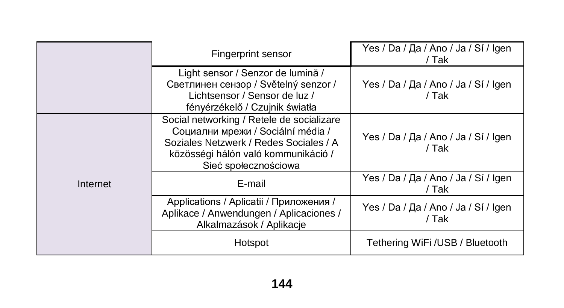|          | Fingerprint sensor                                                                                                                                                                      | Yes / Da / Да / Ano / Ja / Sí / Igen<br>/ Tak |  |
|----------|-----------------------------------------------------------------------------------------------------------------------------------------------------------------------------------------|-----------------------------------------------|--|
|          | Light sensor / Senzor de lumină /<br>Светлинен сензор / Světelný senzor /<br>Lichtsensor / Sensor de luz /<br>fényérzékelő / Czujnik światła                                            | Yes / Da / Да / Ano / Ja / Sí / Igen<br>/ Tak |  |
|          | Social networking / Retele de socializare<br>Социални мрежи / Sociální média /<br>Soziales Netzwerk / Redes Sociales / A<br>közösségi hálón való kommunikáció /<br>Sieć społecznościowa | Yes / Da / Да / Ano / Ja / Sí / Igen<br>/ Tak |  |
| Internet | E-mail                                                                                                                                                                                  | Yes / Da / Да / Ano / Ja / Sí / Igen<br>/ Tak |  |
|          | Applications / Aplicatii / Приложения /<br>Aplikace / Anwendungen / Aplicaciones /<br>Alkalmazások / Aplikacje                                                                          | Yes / Da / Да / Ano / Ja / Sí / Igen<br>/ Tak |  |
|          | Hotspot                                                                                                                                                                                 | Tethering WiFi /USB / Bluetooth               |  |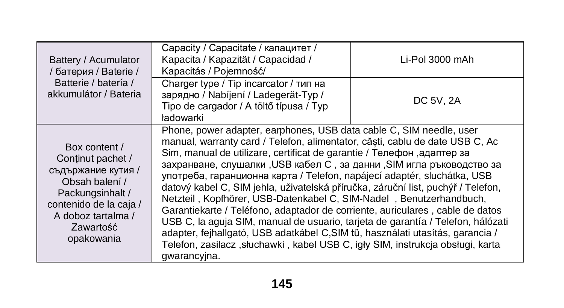| Battery / Acumulator<br>/ батерия / Baterie /                                                                                                                             | Capacity / Capacitate / капацитет /<br>Kapacita / Kapazität / Capacidad /<br>Li-Pol 3000 mAh<br>Kapacitás / Pojemność/                                                                                                                                                                                                                                                                                                                                                                                                                                                                                                                                                                                                                                                                                                                                                                               |           |
|---------------------------------------------------------------------------------------------------------------------------------------------------------------------------|------------------------------------------------------------------------------------------------------------------------------------------------------------------------------------------------------------------------------------------------------------------------------------------------------------------------------------------------------------------------------------------------------------------------------------------------------------------------------------------------------------------------------------------------------------------------------------------------------------------------------------------------------------------------------------------------------------------------------------------------------------------------------------------------------------------------------------------------------------------------------------------------------|-----------|
| Batterie / batería /<br>akkumulátor / Bateria                                                                                                                             | Charger type / Tip incarcator / тип на<br>зарядно / Nabíjení / Ladegerät-Typ /<br>Tipo de cargador / A töltő típusa / Typ<br>ładowarki                                                                                                                                                                                                                                                                                                                                                                                                                                                                                                                                                                                                                                                                                                                                                               | DC 5V, 2A |
| Box content /<br>Continut pachet /<br>съдържание кутия /<br>Obsah balení /<br>Packungsinhalt /<br>contenido de la caja /<br>A doboz tartalma /<br>Zawartość<br>opakowania | Phone, power adapter, earphones, USB data cable C, SIM needle, user<br>manual, warranty card / Telefon, alimentator, căști, cablu de date USB C, Ac<br>Sim, manual de utilizare, certificat de garantie / Телефон ,адаптер за<br>захранване, слушалки, USB кабел С, за данни, SIM игла ръководство за<br>употреба, гаранционна карта / Telefon, napájecí adaptér, sluchátka, USB<br>datový kabel C, SIM jehla, uživatelská příručka, záruční list, puchýř / Telefon,<br>Netzteil, Kopfhörer, USB-Datenkabel C, SIM-Nadel, Benutzerhandbuch,<br>Garantiekarte / Teléfono, adaptador de corriente, auriculares, cable de datos<br>USB C, la aquia SIM, manual de usuario, tarjeta de garantía / Telefon, hálózati<br>adapter, fejhallgató, USB adatkábel C, SIM tű, használati utasítás, garancia /<br>Telefon, zasilacz ,słuchawki , kabel USB C, igły SIM, instrukcja obsługi, karta<br>gwarancyjna. |           |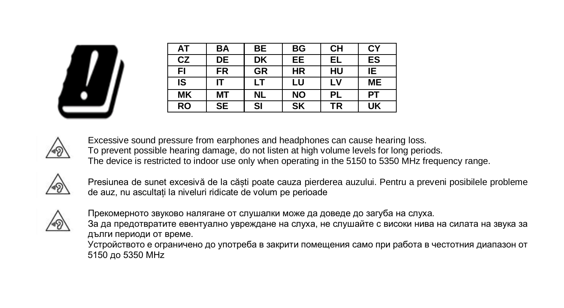

| AT        | <b>BA</b> | BE | BG        | CН | CY        |
|-----------|-----------|----|-----------|----|-----------|
| CZ        | DE        | DK | EE        | EL | ES        |
| FI        | FR        | GR | <b>HR</b> | HU | IE        |
| ΙS        | IT        | LT | LU        | LV | <b>ME</b> |
| <b>MK</b> | <b>MT</b> | NL | <b>NO</b> | PL | PT        |
| RO        | <b>SE</b> | SI | SK        | ΤR | υĸ        |



Excessive sound pressure from earphones and headphones can cause hearing loss. To prevent possible hearing damage, do not listen at high volume levels for long periods. The device is restricted to indoor use only when operating in the 5150 to 5350 MHz frequency range.



Presiunea de sunet excesivă de la căști poate cauza pierderea auzului. Pentru a preveni posibilele probleme de auz, nu ascultați la niveluri ridicate de volum pe perioade



Прекомерното звуково налягане от слушалки може да доведе до загуба на слуха. За да предотвратите евентуално увреждане на слуха, не слушайте с високи нива на силата на звука за дълги периоди от време.

Устройството е ограничено до употреба в закрити помещения само при работа в честотния диапазон от 5150 до 5350 MHz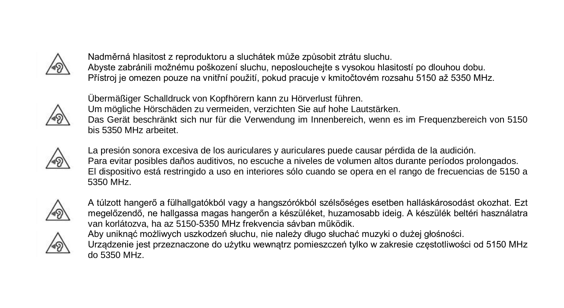

Nadměrná hlasitost z reproduktoru a sluchátek může způsobit ztrátu sluchu. Abyste zabránili možnému poškození sluchu, neposlouchejte s vysokou hlasitostí po dlouhou dobu. Přístroj je omezen pouze na vnitřní použití, pokud pracuje v kmitočtovém rozsahu 5150 až 5350 MHz.



Übermäßiger Schalldruck von Kopfhörern kann zu Hörverlust führen. Um mögliche Hörschäden zu vermeiden, verzichten Sie auf hohe Lautstärken. Das Gerät beschränkt sich nur für die Verwendung im Innenbereich, wenn es im Frequenzbereich von 5150

bis 5350 MHz arbeitet.



La presión sonora excesiva de los auriculares y auriculares puede causar pérdida de la audición. Para evitar posibles daños auditivos, no escuche a niveles de volumen altos durante períodos prolongados. El dispositivo está restringido a uso en interiores sólo cuando se opera en el rango de frecuencias de 5150 a 5350 MHz.



A túlzott hangerő a fülhallgatókból vagy a hangszórókból szélsőséges esetben halláskárosodást okozhat. Ezt megelőzendő, ne hallgassa magas hangerőn a készüléket, huzamosabb ideig. A készülék beltéri használatra van korlátozva, ha az 5150-5350 MHz frekvencia sávban működik.



Aby uniknąć możliwych uszkodzeń słuchu, nie należy długo słuchać muzyki o dużej głośności.

Urządzenie jest przeznaczone do użytku wewnątrz pomieszczeń tylko w zakresie częstotliwości od 5150 MHz do 5350 MHz.